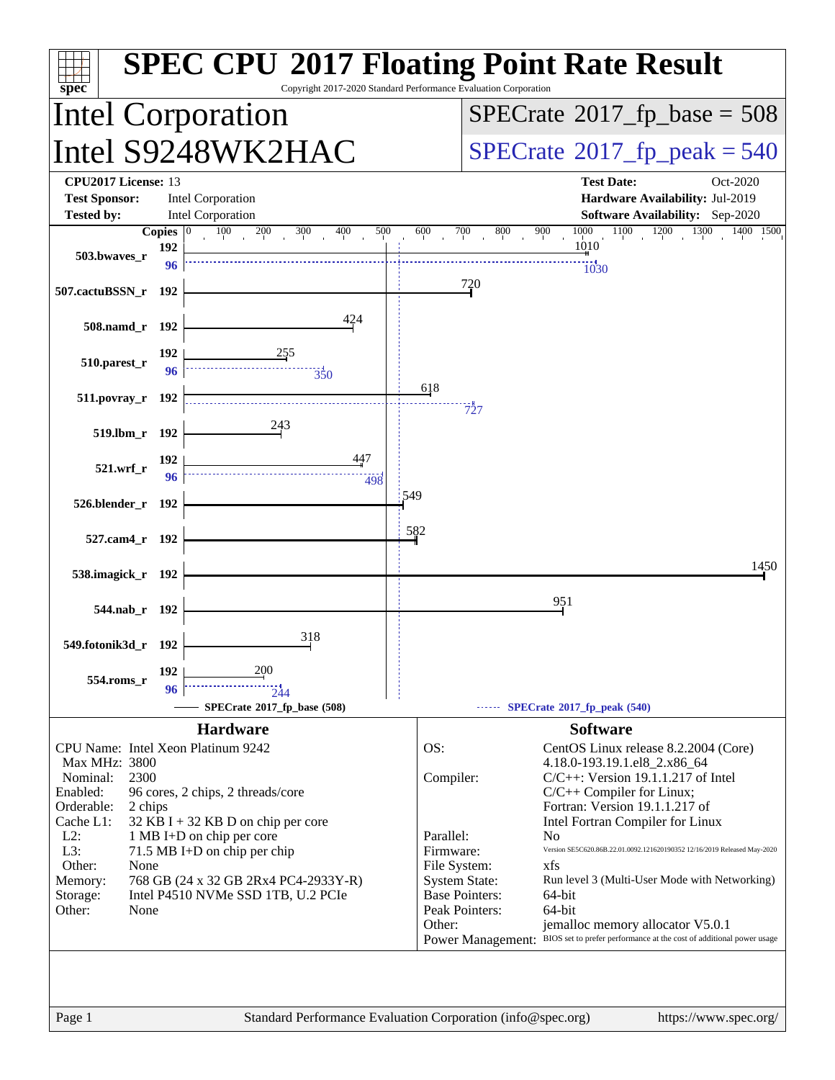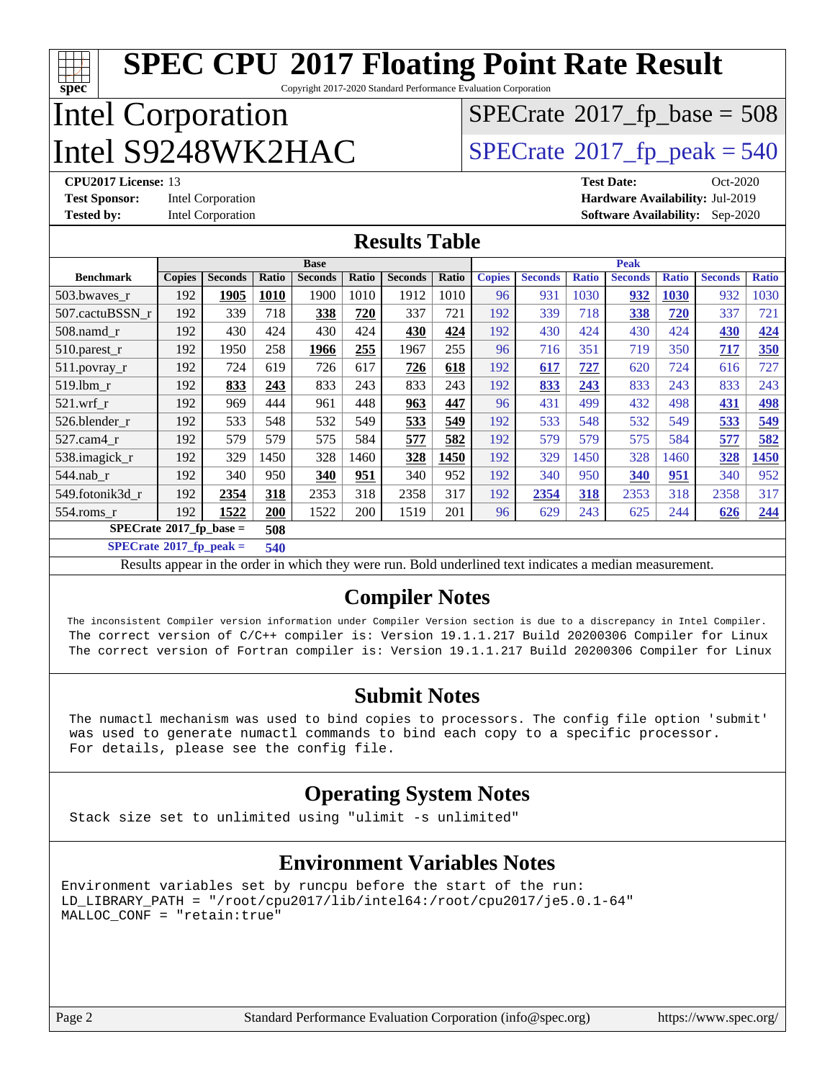| $spec^*$                                                                                   |                                                      |                |       |                |       | <b>SPEC CPU®2017 Floating Point Rate Result</b><br>Copyright 2017-2020 Standard Performance Evaluation Corporation |       |               |                |              |                |                                |                |              |
|--------------------------------------------------------------------------------------------|------------------------------------------------------|----------------|-------|----------------|-------|--------------------------------------------------------------------------------------------------------------------|-------|---------------|----------------|--------------|----------------|--------------------------------|----------------|--------------|
| <b>Intel Corporation</b>                                                                   |                                                      |                |       |                |       | $SPECTate$ <sup>®</sup> 2017_fp_base = 508                                                                         |       |               |                |              |                |                                |                |              |
|                                                                                            | Intel S9248WK2HAC                                    |                |       |                |       |                                                                                                                    |       |               |                |              |                | $SPECTate@2017_fp\_peak = 540$ |                |              |
|                                                                                            | CPU2017 License: 13<br><b>Test Date:</b><br>Oct-2020 |                |       |                |       |                                                                                                                    |       |               |                |              |                |                                |                |              |
| <b>Test Sponsor:</b><br><b>Intel Corporation</b><br>Hardware Availability: Jul-2019        |                                                      |                |       |                |       |                                                                                                                    |       |               |                |              |                |                                |                |              |
| <b>Tested by:</b><br><b>Intel Corporation</b><br><b>Software Availability:</b><br>Sep-2020 |                                                      |                |       |                |       |                                                                                                                    |       |               |                |              |                |                                |                |              |
| <b>Results Table</b>                                                                       |                                                      |                |       |                |       |                                                                                                                    |       |               |                |              |                |                                |                |              |
|                                                                                            |                                                      |                |       | <b>Base</b>    |       |                                                                                                                    |       |               |                |              | <b>Peak</b>    |                                |                |              |
| <b>Benchmark</b>                                                                           | <b>Copies</b>                                        | <b>Seconds</b> | Ratio | <b>Seconds</b> | Ratio | <b>Seconds</b>                                                                                                     | Ratio | <b>Copies</b> | <b>Seconds</b> | <b>Ratio</b> | <b>Seconds</b> | <b>Ratio</b>                   | <b>Seconds</b> | <b>Ratio</b> |
| 503.bwaves_r                                                                               | 192                                                  | 1905           | 1010  | 1900           | 1010  | 1912                                                                                                               | 1010  | 96            | 931            | 1030         | 932            | 1030                           | 932            | 1030         |
| 507.cactuBSSN r                                                                            | 192                                                  | 339            | 718   | 338            | 720   | 337                                                                                                                | 721   | 192           | 339            | 718          | 338            | 720                            | 337            | 721          |
| 508.namd r                                                                                 | 192                                                  | 430            | 424   | 430            | 424   | 430                                                                                                                | 424   | 192           | 430            | 424          | 430            | 424                            | 430            | 424          |
| 510.parest_r                                                                               | 192                                                  | 1950           | 258   | 1966           | 255   | 1967                                                                                                               | 255   | 96            | 716            | 351          | 719            | 350                            | 717            | 350          |
| 511.povray_r                                                                               | 192                                                  | 724            | 619   | 726            | 617   | 726                                                                                                                | 618   | 192           | 617            | 727          | 620            | 724                            | 616            | 727          |
| 519.lbm r                                                                                  | 192                                                  | 833            | 243   | 833            | 243   | 833                                                                                                                | 243   | 192           | 833            | 243          | 833            | 243                            | 833            | 243          |
| $521.wrf_r$                                                                                | 192                                                  | 969            | 444   | 961            | 448   | 963                                                                                                                | 447   | 96            | 431            | 499          | 432            | 498                            | 431            | 498          |
| 526.blender r                                                                              | 192                                                  | 533            | 548   | 532            | 549   | 533                                                                                                                | 549   | 192           | 533            | 548          | 532            | 549                            | 533            | 549          |
| 527.cam4 r                                                                                 | 192                                                  | 579            | 579   | 575            | 584   | 577                                                                                                                | 582   | 192           | 579            | 579          | 575            | 584                            | 577            | 582          |
| 538.imagick_r                                                                              | 192                                                  | 329            | 1450  | 328            | 1460  | 328                                                                                                                | 1450  | 192           | 329            | 1450         | 328            | 1460                           | 328            | 1450         |
| 544.nab r                                                                                  | 192                                                  | 340            | 950   | 340            | 951   | 340                                                                                                                | 952   | 192           | 340            | 950          | <b>340</b>     | 951                            | 340            | 952          |
| 549.fotonik3d r                                                                            | 192                                                  | 2354           | 318   | 2353           | 318   | 2358                                                                                                               | 317   | 192           | 2354           | 318          | 2353           | 318                            | 2358           | 317          |
| 554.roms r                                                                                 | 192                                                  | 1522           | 200   | 1522           | 200   | 1519                                                                                                               | 201   | 96            | 629            | 243          | 625            | 244                            | 626            | 244          |
| $SPECrate$ <sup>®</sup> 2017_fp_base =<br>508                                              |                                                      |                |       |                |       |                                                                                                                    |       |               |                |              |                |                                |                |              |

**[SPECrate](http://www.spec.org/auto/cpu2017/Docs/result-fields.html#SPECrate2017fppeak)[2017\\_fp\\_peak =](http://www.spec.org/auto/cpu2017/Docs/result-fields.html#SPECrate2017fppeak) 540**

Results appear in the [order in which they were run](http://www.spec.org/auto/cpu2017/Docs/result-fields.html#RunOrder). Bold underlined text [indicates a median measurement](http://www.spec.org/auto/cpu2017/Docs/result-fields.html#Median).

#### **[Compiler Notes](http://www.spec.org/auto/cpu2017/Docs/result-fields.html#CompilerNotes)**

 The inconsistent Compiler version information under Compiler Version section is due to a discrepancy in Intel Compiler. The correct version of C/C++ compiler is: Version 19.1.1.217 Build 20200306 Compiler for Linux The correct version of Fortran compiler is: Version 19.1.1.217 Build 20200306 Compiler for Linux

#### **[Submit Notes](http://www.spec.org/auto/cpu2017/Docs/result-fields.html#SubmitNotes)**

 The numactl mechanism was used to bind copies to processors. The config file option 'submit' was used to generate numactl commands to bind each copy to a specific processor. For details, please see the config file.

#### **[Operating System Notes](http://www.spec.org/auto/cpu2017/Docs/result-fields.html#OperatingSystemNotes)**

Stack size set to unlimited using "ulimit -s unlimited"

#### **[Environment Variables Notes](http://www.spec.org/auto/cpu2017/Docs/result-fields.html#EnvironmentVariablesNotes)**

Environment variables set by runcpu before the start of the run: LD\_LIBRARY\_PATH = "/root/cpu2017/lib/intel64:/root/cpu2017/je5.0.1-64" MALLOC\_CONF = "retain:true"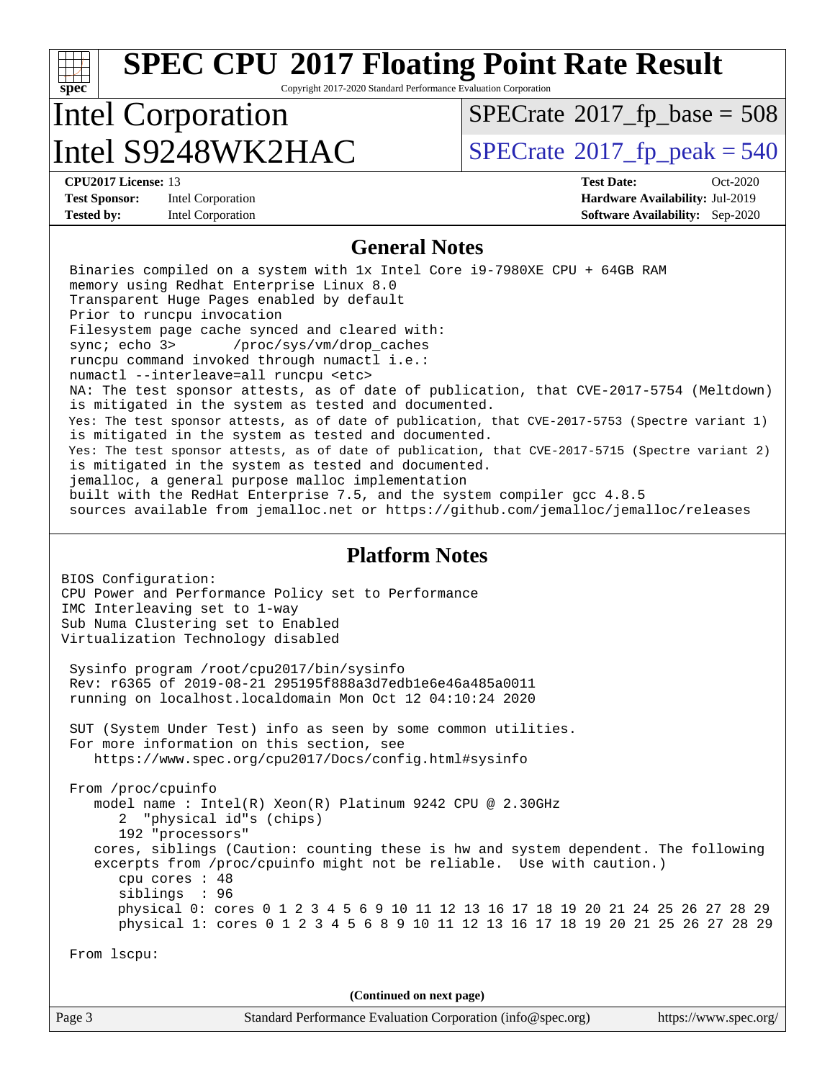#### Page 3 Standard Performance Evaluation Corporation [\(info@spec.org\)](mailto:info@spec.org) <https://www.spec.org/> **[spec](http://www.spec.org/) [SPEC CPU](http://www.spec.org/auto/cpu2017/Docs/result-fields.html#SPECCPU2017FloatingPointRateResult)[2017 Floating Point Rate Result](http://www.spec.org/auto/cpu2017/Docs/result-fields.html#SPECCPU2017FloatingPointRateResult)** Copyright 2017-2020 Standard Performance Evaluation Corporation Intel Corporation Intel  $S9248WK2HAC$  [SPECrate](http://www.spec.org/auto/cpu2017/Docs/result-fields.html#SPECrate2017fppeak)®[2017\\_fp\\_peak = 5](http://www.spec.org/auto/cpu2017/Docs/result-fields.html#SPECrate2017fppeak)40  $SPECTate$ <sup>®</sup>[2017\\_fp\\_base =](http://www.spec.org/auto/cpu2017/Docs/result-fields.html#SPECrate2017fpbase) 508 **[CPU2017 License:](http://www.spec.org/auto/cpu2017/Docs/result-fields.html#CPU2017License)** 13 **[Test Date:](http://www.spec.org/auto/cpu2017/Docs/result-fields.html#TestDate)** Oct-2020 **[Test Sponsor:](http://www.spec.org/auto/cpu2017/Docs/result-fields.html#TestSponsor)** Intel Corporation **[Hardware Availability:](http://www.spec.org/auto/cpu2017/Docs/result-fields.html#HardwareAvailability)** Jul-2019 **[Tested by:](http://www.spec.org/auto/cpu2017/Docs/result-fields.html#Testedby)** Intel Corporation **[Software Availability:](http://www.spec.org/auto/cpu2017/Docs/result-fields.html#SoftwareAvailability)** Sep-2020 **[General Notes](http://www.spec.org/auto/cpu2017/Docs/result-fields.html#GeneralNotes)** Binaries compiled on a system with 1x Intel Core i9-7980XE CPU + 64GB RAM memory using Redhat Enterprise Linux 8.0 Transparent Huge Pages enabled by default Prior to runcpu invocation Filesystem page cache synced and cleared with: sync; echo 3> /proc/sys/vm/drop\_caches runcpu command invoked through numactl i.e.: numactl --interleave=all runcpu <etc> NA: The test sponsor attests, as of date of publication, that CVE-2017-5754 (Meltdown) is mitigated in the system as tested and documented. Yes: The test sponsor attests, as of date of publication, that CVE-2017-5753 (Spectre variant 1) is mitigated in the system as tested and documented. Yes: The test sponsor attests, as of date of publication, that CVE-2017-5715 (Spectre variant 2) is mitigated in the system as tested and documented. jemalloc, a general purpose malloc implementation built with the RedHat Enterprise 7.5, and the system compiler gcc 4.8.5 sources available from jemalloc.net or<https://github.com/jemalloc/jemalloc/releases> **[Platform Notes](http://www.spec.org/auto/cpu2017/Docs/result-fields.html#PlatformNotes)** BIOS Configuration: CPU Power and Performance Policy set to Performance IMC Interleaving set to 1-way Sub Numa Clustering set to Enabled Virtualization Technology disabled Sysinfo program /root/cpu2017/bin/sysinfo Rev: r6365 of 2019-08-21 295195f888a3d7edb1e6e46a485a0011 running on localhost.localdomain Mon Oct 12 04:10:24 2020 SUT (System Under Test) info as seen by some common utilities. For more information on this section, see <https://www.spec.org/cpu2017/Docs/config.html#sysinfo> From /proc/cpuinfo model name : Intel(R) Xeon(R) Platinum 9242 CPU @ 2.30GHz 2 "physical id"s (chips) 192 "processors" cores, siblings (Caution: counting these is hw and system dependent. The following excerpts from /proc/cpuinfo might not be reliable. Use with caution.) cpu cores : 48 siblings : 96 physical 0: cores 0 1 2 3 4 5 6 9 10 11 12 13 16 17 18 19 20 21 24 25 26 27 28 29 physical 1: cores 0 1 2 3 4 5 6 8 9 10 11 12 13 16 17 18 19 20 21 25 26 27 28 29 From lscpu: **(Continued on next page)**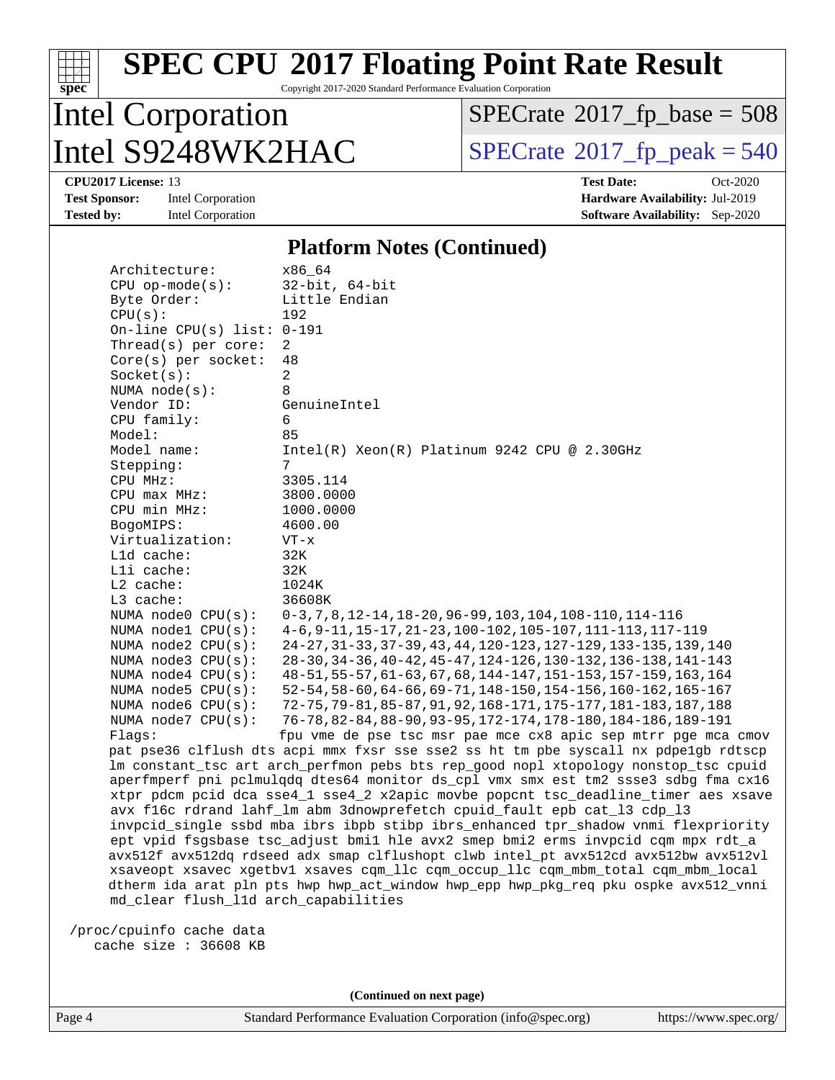

Copyright 2017-2020 Standard Performance Evaluation Corporation

## Intel Corporation Intel  $S9248WK2HAC$  [SPECrate](http://www.spec.org/auto/cpu2017/Docs/result-fields.html#SPECrate2017fppeak)®[2017\\_fp\\_peak = 5](http://www.spec.org/auto/cpu2017/Docs/result-fields.html#SPECrate2017fppeak)40

 $SPECrate$ <sup>®</sup>[2017\\_fp\\_base =](http://www.spec.org/auto/cpu2017/Docs/result-fields.html#SPECrate2017fpbase) 508

**[Tested by:](http://www.spec.org/auto/cpu2017/Docs/result-fields.html#Testedby)** Intel Corporation **[Software Availability:](http://www.spec.org/auto/cpu2017/Docs/result-fields.html#SoftwareAvailability)** Sep-2020

**[CPU2017 License:](http://www.spec.org/auto/cpu2017/Docs/result-fields.html#CPU2017License)** 13 **[Test Date:](http://www.spec.org/auto/cpu2017/Docs/result-fields.html#TestDate)** Oct-2020 **[Test Sponsor:](http://www.spec.org/auto/cpu2017/Docs/result-fields.html#TestSponsor)** Intel Corporation **[Hardware Availability:](http://www.spec.org/auto/cpu2017/Docs/result-fields.html#HardwareAvailability)** Jul-2019

#### **[Platform Notes \(Continued\)](http://www.spec.org/auto/cpu2017/Docs/result-fields.html#PlatformNotes)**

| Architecture:                        | x86 64                                                                                                                                                                     |
|--------------------------------------|----------------------------------------------------------------------------------------------------------------------------------------------------------------------------|
| $CPU$ op-mode(s):                    | $32$ -bit, $64$ -bit                                                                                                                                                       |
| Byte Order:                          | Little Endian                                                                                                                                                              |
| CPU(s):                              | 192                                                                                                                                                                        |
| On-line CPU(s) list: $0-191$         |                                                                                                                                                                            |
| Thread( $s$ ) per core:              | 2                                                                                                                                                                          |
| $Core(s)$ per socket:                | 48                                                                                                                                                                         |
| Socket(s):                           | $\overline{c}$                                                                                                                                                             |
| NUMA node(s):                        | 8                                                                                                                                                                          |
| Vendor ID:                           | GenuineIntel                                                                                                                                                               |
| CPU family:                          | 6                                                                                                                                                                          |
| Model:                               | 85                                                                                                                                                                         |
| Model name:                          | $Intel(R) Xeon(R) Platinum 9242 CPU @ 2.30GHz$                                                                                                                             |
| Stepping:                            | 7                                                                                                                                                                          |
| CPU MHz:                             | 3305.114                                                                                                                                                                   |
| CPU max MHz:                         | 3800.0000                                                                                                                                                                  |
| CPU min MHz:                         | 1000.0000                                                                                                                                                                  |
| BogoMIPS:                            | 4600.00                                                                                                                                                                    |
| Virtualization:                      | $VT - x$                                                                                                                                                                   |
| L1d cache:                           | 32K                                                                                                                                                                        |
| Lli cache:                           | 32K                                                                                                                                                                        |
| $L2$ cache:                          | 1024K                                                                                                                                                                      |
| L3 cache:                            | 36608K                                                                                                                                                                     |
| NUMA node0 CPU(s):                   | 0-3, 7, 8, 12-14, 18-20, 96-99, 103, 104, 108-110, 114-116                                                                                                                 |
| NUMA nodel CPU(s):                   | 4-6, 9-11, 15-17, 21-23, 100-102, 105-107, 111-113, 117-119                                                                                                                |
| NUMA $node2$ $CPU(s)$ :              | 24-27, 31-33, 37-39, 43, 44, 120-123, 127-129, 133-135, 139, 140                                                                                                           |
| NUMA node3 CPU(s):                   | 28-30, 34-36, 40-42, 45-47, 124-126, 130-132, 136-138, 141-143                                                                                                             |
| NUMA $node4$ CPU $(s)$ :             | 48-51, 55-57, 61-63, 67, 68, 144-147, 151-153, 157-159, 163, 164                                                                                                           |
| NUMA node5 $CPU(s):$                 | 52-54, 58-60, 64-66, 69-71, 148-150, 154-156, 160-162, 165-167                                                                                                             |
| NUMA node6 CPU(s):                   | 72-75, 79-81, 85-87, 91, 92, 168-171, 175-177, 181-183, 187, 188                                                                                                           |
| NUMA $node7$ CPU $(s)$ :             | 76-78, 82-84, 88-90, 93-95, 172-174, 178-180, 184-186, 189-191                                                                                                             |
| Flaqs:                               | fpu vme de pse tsc msr pae mce cx8 apic sep mtrr pge mca cmov                                                                                                              |
|                                      | pat pse36 clflush dts acpi mmx fxsr sse sse2 ss ht tm pbe syscall nx pdpelgb rdtscp<br>lm constant_tsc art arch_perfmon pebs bts rep_good nopl xtopology nonstop_tsc cpuid |
|                                      | aperfmperf pni pclmulgdg dtes64 monitor ds cpl vmx smx est tm2 ssse3 sdbg fma cx16                                                                                         |
|                                      | xtpr pdcm pcid dca sse4_1 sse4_2 x2apic movbe popcnt tsc_deadline_timer aes xsave                                                                                          |
|                                      | avx f16c rdrand lahf_lm abm 3dnowprefetch cpuid_fault epb cat_13 cdp_13                                                                                                    |
|                                      | invpcid_single ssbd mba ibrs ibpb stibp ibrs_enhanced tpr_shadow vnmi flexpriority                                                                                         |
|                                      | ept vpid fsgsbase tsc_adjust bmil hle avx2 smep bmi2 erms invpcid cqm mpx rdt_a                                                                                            |
|                                      | avx512f avx512dq rdseed adx smap clflushopt clwb intel_pt avx512cd avx512bw avx512vl                                                                                       |
|                                      | xsaveopt xsavec xgetbvl xsaves cqm_llc cqm_occup_llc cqm_mbm_total cqm_mbm_local                                                                                           |
|                                      | dtherm ida arat pln pts hwp hwp_act_window hwp_epp hwp_pkg_req pku ospke avx512_vnni                                                                                       |
| md_clear flush_lld arch_capabilities |                                                                                                                                                                            |
|                                      |                                                                                                                                                                            |
| /proc/cpuinfo cache data             |                                                                                                                                                                            |

cache size : 36608 KB

**(Continued on next page)**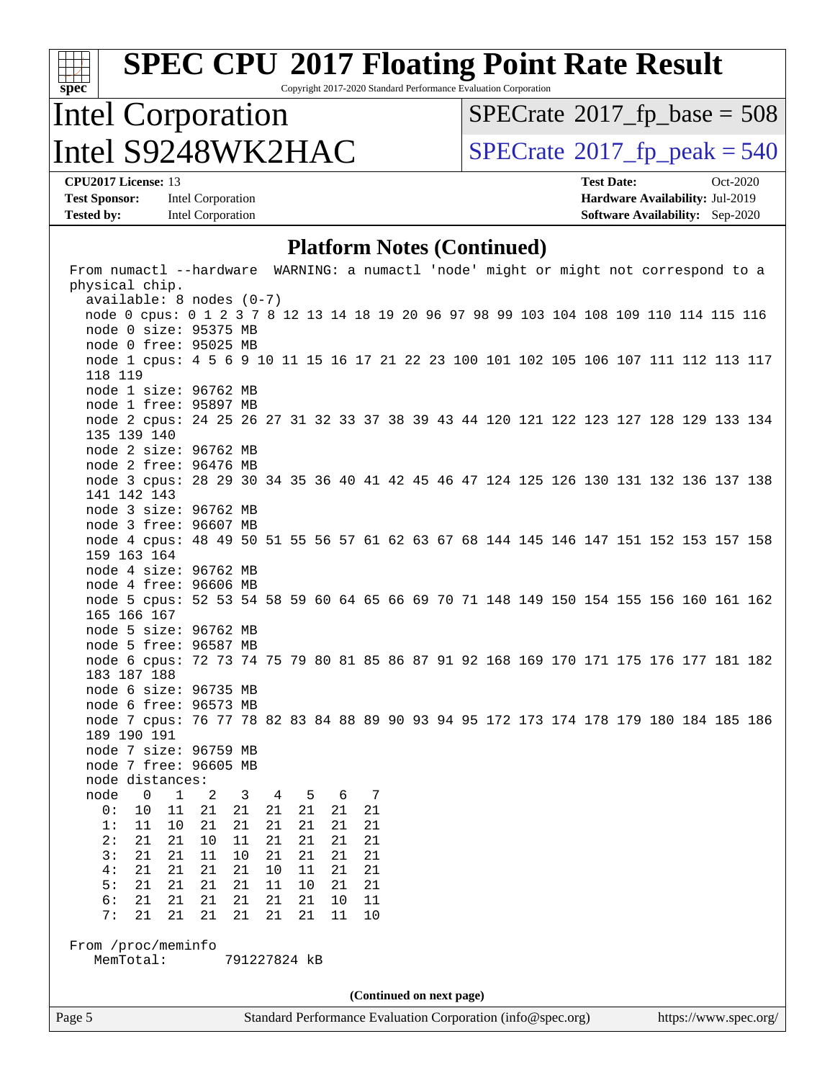Copyright 2017-2020 Standard Performance Evaluation Corporation

## Intel Corporation  $\text{Intel } S9248WK2HAC$  [SPECrate](http://www.spec.org/auto/cpu2017/Docs/result-fields.html#SPECrate2017fppeak)®[2017\\_fp\\_peak = 5](http://www.spec.org/auto/cpu2017/Docs/result-fields.html#SPECrate2017fppeak)40

 $SPECTate$ <sup>®</sup>[2017\\_fp\\_base =](http://www.spec.org/auto/cpu2017/Docs/result-fields.html#SPECrate2017fpbase) 508

**[spec](http://www.spec.org/)**

**[Test Sponsor:](http://www.spec.org/auto/cpu2017/Docs/result-fields.html#TestSponsor)** Intel Corporation **[Hardware Availability:](http://www.spec.org/auto/cpu2017/Docs/result-fields.html#HardwareAvailability)** Jul-2019 **[Tested by:](http://www.spec.org/auto/cpu2017/Docs/result-fields.html#Testedby)** Intel Corporation **[Software Availability:](http://www.spec.org/auto/cpu2017/Docs/result-fields.html#SoftwareAvailability)** Sep-2020

**[CPU2017 License:](http://www.spec.org/auto/cpu2017/Docs/result-fields.html#CPU2017License)** 13 **[Test Date:](http://www.spec.org/auto/cpu2017/Docs/result-fields.html#TestDate)** Oct-2020

#### **[Platform Notes \(Continued\)](http://www.spec.org/auto/cpu2017/Docs/result-fields.html#PlatformNotes)**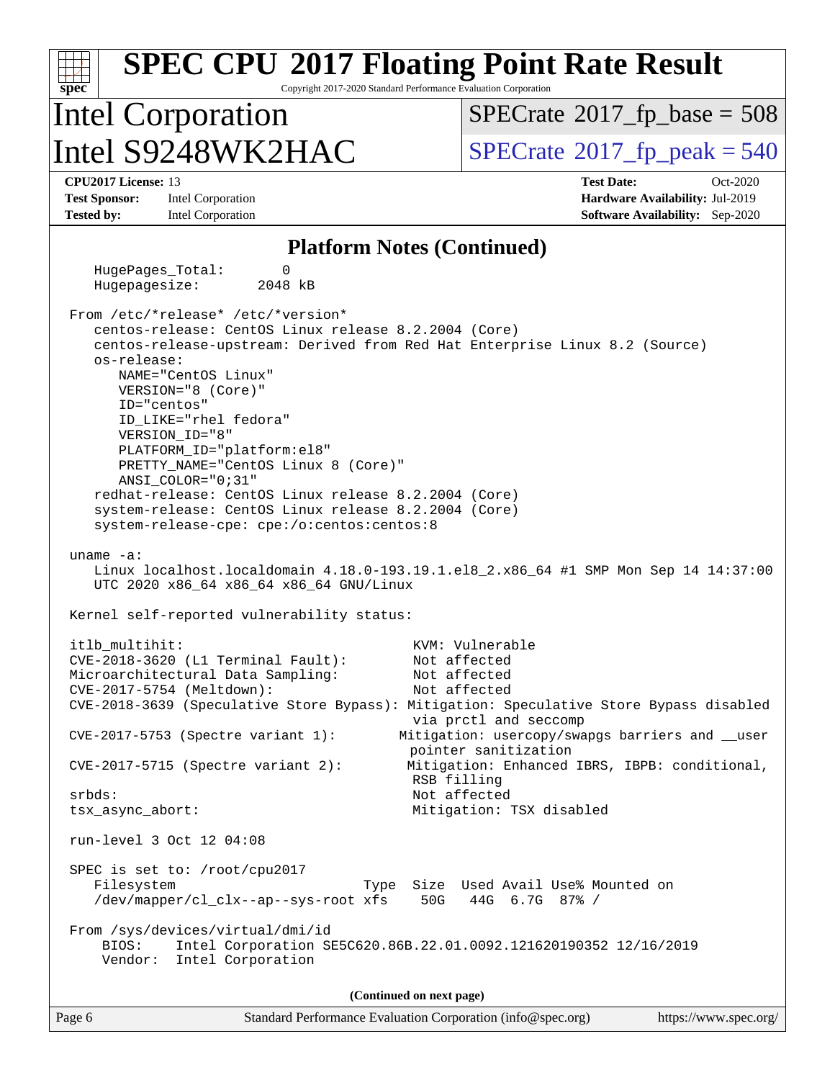#### **[spec](http://www.spec.org/) [SPEC CPU](http://www.spec.org/auto/cpu2017/Docs/result-fields.html#SPECCPU2017FloatingPointRateResult)[2017 Floating Point Rate Result](http://www.spec.org/auto/cpu2017/Docs/result-fields.html#SPECCPU2017FloatingPointRateResult)** Copyright 2017-2020 Standard Performance Evaluation Corporation Intel Corporation Intel  $S9248WK2HAC$  [SPECrate](http://www.spec.org/auto/cpu2017/Docs/result-fields.html#SPECrate2017fppeak)®[2017\\_fp\\_peak = 5](http://www.spec.org/auto/cpu2017/Docs/result-fields.html#SPECrate2017fppeak)40  $SPECTate$ <sup>®</sup>[2017\\_fp\\_base =](http://www.spec.org/auto/cpu2017/Docs/result-fields.html#SPECrate2017fpbase) 508 **[CPU2017 License:](http://www.spec.org/auto/cpu2017/Docs/result-fields.html#CPU2017License)** 13 **[Test Date:](http://www.spec.org/auto/cpu2017/Docs/result-fields.html#TestDate)** Oct-2020 **[Test Sponsor:](http://www.spec.org/auto/cpu2017/Docs/result-fields.html#TestSponsor)** Intel Corporation **[Hardware Availability:](http://www.spec.org/auto/cpu2017/Docs/result-fields.html#HardwareAvailability)** Jul-2019 **[Tested by:](http://www.spec.org/auto/cpu2017/Docs/result-fields.html#Testedby)** Intel Corporation **[Software Availability:](http://www.spec.org/auto/cpu2017/Docs/result-fields.html#SoftwareAvailability)** Sep-2020 **[Platform Notes \(Continued\)](http://www.spec.org/auto/cpu2017/Docs/result-fields.html#PlatformNotes)** HugePages Total: 0 Hugepagesize: 2048 kB From /etc/\*release\* /etc/\*version\* centos-release: CentOS Linux release 8.2.2004 (Core) centos-release-upstream: Derived from Red Hat Enterprise Linux 8.2 (Source) os-release: NAME="CentOS Linux" VERSION="8 (Core)" ID="centos" ID\_LIKE="rhel fedora" VERSION\_ID="8" PLATFORM\_ID="platform:el8" PRETTY\_NAME="CentOS Linux 8 (Core)" ANSI\_COLOR="0;31" redhat-release: CentOS Linux release 8.2.2004 (Core) system-release: CentOS Linux release 8.2.2004 (Core) system-release-cpe: cpe:/o:centos:centos:8 uname -a: Linux localhost.localdomain 4.18.0-193.19.1.el8\_2.x86\_64 #1 SMP Mon Sep 14 14:37:00 UTC 2020 x86\_64 x86\_64 x86\_64 GNU/Linux Kernel self-reported vulnerability status: itlb\_multihit: KVM: Vulnerable<br>CVE-2018-3620 (L1 Terminal Fault): Not affected  $CVE-2018-3620$  (L1 Terminal Fault): Microarchitectural Data Sampling: Not affected CVE-2017-5754 (Meltdown): Not affected CVE-2018-3639 (Speculative Store Bypass): Mitigation: Speculative Store Bypass disabled via prctl and seccomp CVE-2017-5753 (Spectre variant 1): Mitigation: usercopy/swapgs barriers and \_\_user pointer sanitization CVE-2017-5715 (Spectre variant 2): Mitigation: Enhanced IBRS, IBPB: conditional, RSB filling srbds: Not affected tsx\_async\_abort: Mitigation: TSX disabled run-level 3 Oct 12 04:08 SPEC is set to: /root/cpu2017 Filesystem Type Size Used Avail Use% Mounted on /dev/mapper/cl\_clx--ap--sys-root xfs 50G 44G 6.7G 87% / From /sys/devices/virtual/dmi/id BIOS: Intel Corporation SE5C620.86B.22.01.0092.121620190352 12/16/2019 Vendor: Intel Corporation **(Continued on next page)**

| Page 6 | Standard Performance Evaluation Corporation (info@spec.org) | https://www.spec.org/ |
|--------|-------------------------------------------------------------|-----------------------|
|        |                                                             |                       |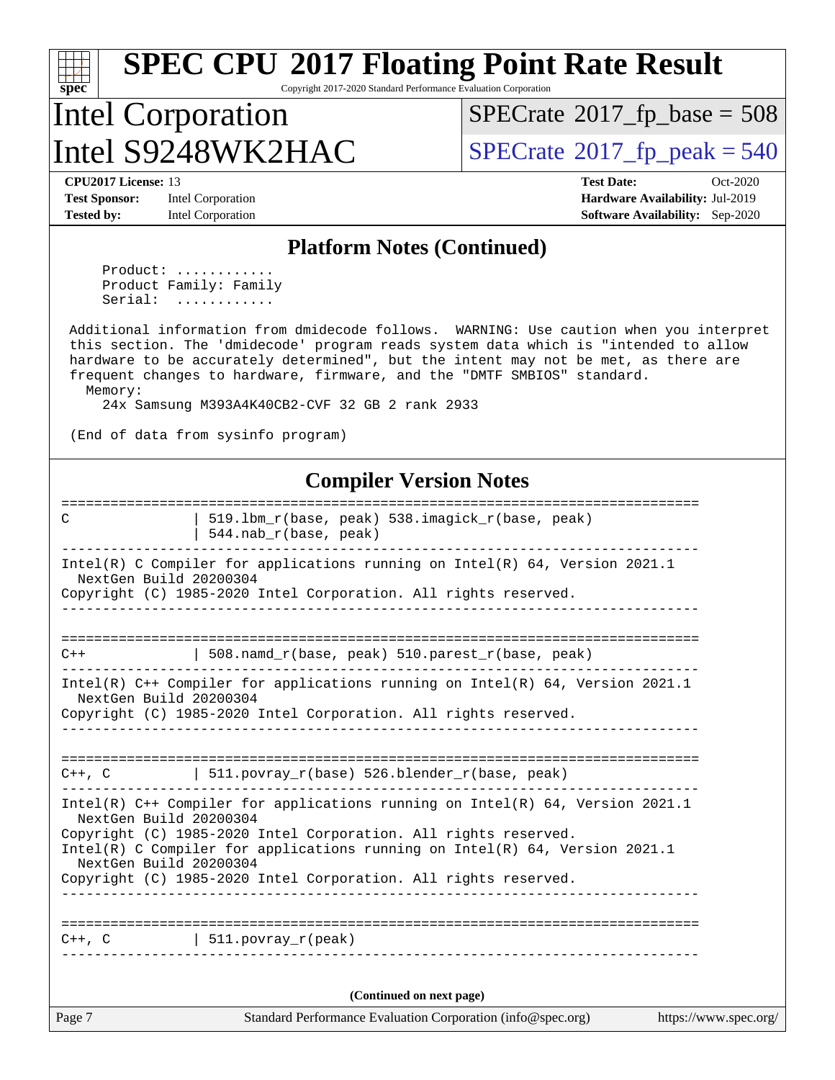Copyright 2017-2020 Standard Performance Evaluation Corporation

## Intel Corporation  $\text{Intel } S9248WK2HAC$  [SPECrate](http://www.spec.org/auto/cpu2017/Docs/result-fields.html#SPECrate2017fppeak)®[2017\\_fp\\_peak = 5](http://www.spec.org/auto/cpu2017/Docs/result-fields.html#SPECrate2017fppeak)40

 $SPECrate$ <sup>®</sup>[2017\\_fp\\_base =](http://www.spec.org/auto/cpu2017/Docs/result-fields.html#SPECrate2017fpbase) 508

**[spec](http://www.spec.org/)**

**[Test Sponsor:](http://www.spec.org/auto/cpu2017/Docs/result-fields.html#TestSponsor)** Intel Corporation **[Hardware Availability:](http://www.spec.org/auto/cpu2017/Docs/result-fields.html#HardwareAvailability)** Jul-2019

**[CPU2017 License:](http://www.spec.org/auto/cpu2017/Docs/result-fields.html#CPU2017License)** 13 **[Test Date:](http://www.spec.org/auto/cpu2017/Docs/result-fields.html#TestDate)** Oct-2020 **[Tested by:](http://www.spec.org/auto/cpu2017/Docs/result-fields.html#Testedby)** Intel Corporation **[Software Availability:](http://www.spec.org/auto/cpu2017/Docs/result-fields.html#SoftwareAvailability)** Sep-2020

#### **[Platform Notes \(Continued\)](http://www.spec.org/auto/cpu2017/Docs/result-fields.html#PlatformNotes)**

Product: ........... Product Family: Family Serial: ............

 Additional information from dmidecode follows. WARNING: Use caution when you interpret this section. The 'dmidecode' program reads system data which is "intended to allow hardware to be accurately determined", but the intent may not be met, as there are frequent changes to hardware, firmware, and the "DMTF SMBIOS" standard. Memory:

24x Samsung M393A4K40CB2-CVF 32 GB 2 rank 2933

(End of data from sysinfo program)

#### **[Compiler Version Notes](http://www.spec.org/auto/cpu2017/Docs/result-fields.html#CompilerVersionNotes)**

| C                      | 519.1bm_r(base, peak) 538.imagick_r(base, peak)<br>$544.nab_r(base, peak)$      |                       |
|------------------------|---------------------------------------------------------------------------------|-----------------------|
| NextGen Build 20200304 | Intel(R) C Compiler for applications running on Intel(R) $64$ , Version 2021.1  |                       |
|                        | Copyright (C) 1985-2020 Intel Corporation. All rights reserved.                 |                       |
|                        |                                                                                 |                       |
| $C++$                  | 508.namd_r(base, peak) 510.parest_r(base, peak)                                 |                       |
| NextGen Build 20200304 | Intel(R) C++ Compiler for applications running on Intel(R) 64, Version 2021.1   |                       |
|                        | Copyright (C) 1985-2020 Intel Corporation. All rights reserved.                 |                       |
|                        |                                                                                 |                       |
|                        | $C++$ , C $\qquad \qquad$ 511.povray_r(base) 526.blender_r(base, peak)          |                       |
| NextGen Build 20200304 | Intel(R) $C++$ Compiler for applications running on Intel(R) 64, Version 2021.1 |                       |
|                        | Copyright (C) 1985-2020 Intel Corporation. All rights reserved.                 |                       |
| NextGen Build 20200304 | Intel(R) C Compiler for applications running on $Intel(R) 64$ , Version 2021.1  |                       |
|                        | Copyright (C) 1985-2020 Intel Corporation. All rights reserved.                 |                       |
|                        |                                                                                 |                       |
|                        | $C++$ , $C$   511.povray_r(peak)                                                |                       |
|                        | (Continued on next page)                                                        |                       |
| Page 7                 | Standard Performance Evaluation Corporation (info@spec.org)                     | https://www.spec.org/ |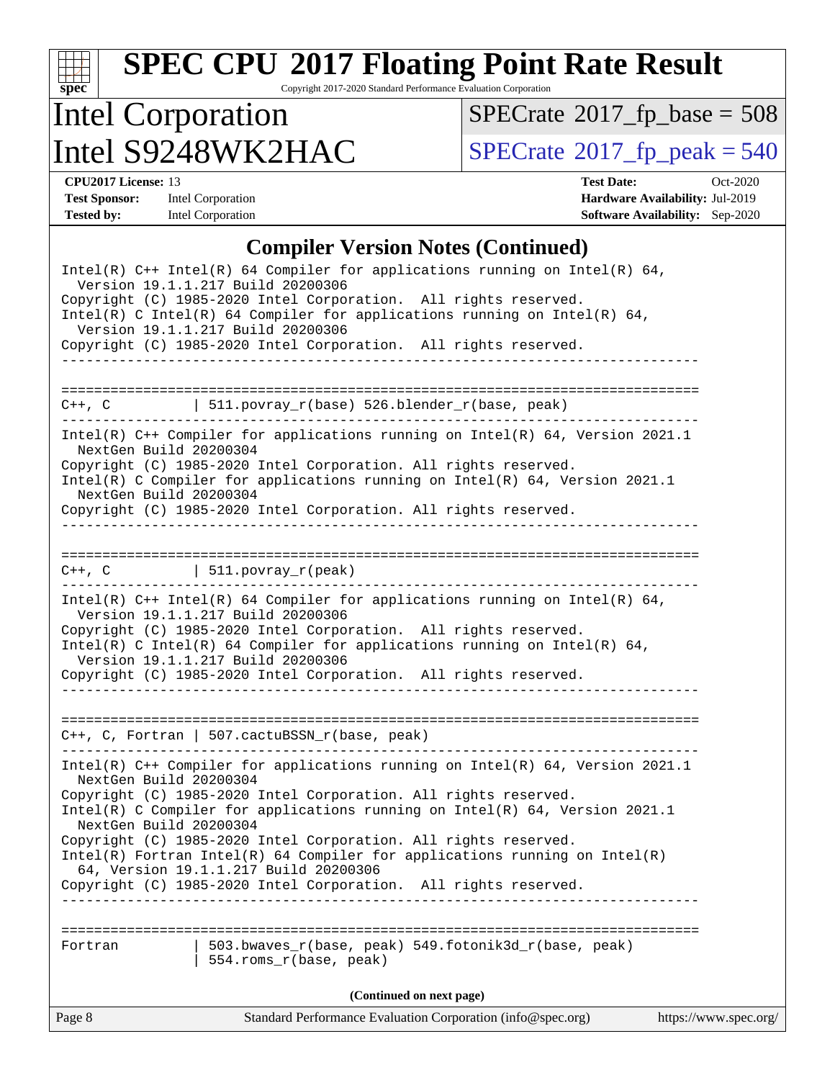Copyright 2017-2020 Standard Performance Evaluation Corporation

## Intel Corporation Intel  $S9248WK2HAC$  [SPECrate](http://www.spec.org/auto/cpu2017/Docs/result-fields.html#SPECrate2017fppeak)®[2017\\_fp\\_peak = 5](http://www.spec.org/auto/cpu2017/Docs/result-fields.html#SPECrate2017fppeak)40

 $SPECTate$ <sup>®</sup>[2017\\_fp\\_base =](http://www.spec.org/auto/cpu2017/Docs/result-fields.html#SPECrate2017fpbase) 508

**[spec](http://www.spec.org/)**

**[CPU2017 License:](http://www.spec.org/auto/cpu2017/Docs/result-fields.html#CPU2017License)** 13 **[Test Date:](http://www.spec.org/auto/cpu2017/Docs/result-fields.html#TestDate)** Oct-2020 **[Test Sponsor:](http://www.spec.org/auto/cpu2017/Docs/result-fields.html#TestSponsor)** Intel Corporation **[Hardware Availability:](http://www.spec.org/auto/cpu2017/Docs/result-fields.html#HardwareAvailability)** Jul-2019 **[Tested by:](http://www.spec.org/auto/cpu2017/Docs/result-fields.html#Testedby)** Intel Corporation **[Software Availability:](http://www.spec.org/auto/cpu2017/Docs/result-fields.html#SoftwareAvailability)** Sep-2020

#### **[Compiler Version Notes \(Continued\)](http://www.spec.org/auto/cpu2017/Docs/result-fields.html#CompilerVersionNotes)**

| Intel(R) $C++$ Intel(R) 64 Compiler for applications running on Intel(R) 64,<br>Version 19.1.1.217 Build 20200306<br>Copyright (C) 1985-2020 Intel Corporation. All rights reserved.                                                                                                                                                                                     |
|--------------------------------------------------------------------------------------------------------------------------------------------------------------------------------------------------------------------------------------------------------------------------------------------------------------------------------------------------------------------------|
| Intel(R) C Intel(R) 64 Compiler for applications running on Intel(R) 64,<br>Version 19.1.1.217 Build 20200306<br>Copyright (C) 1985-2020 Intel Corporation. All rights reserved.                                                                                                                                                                                         |
|                                                                                                                                                                                                                                                                                                                                                                          |
| $C++$ , C $\qquad$   511.povray_r(base) 526.blender_r(base, peak)                                                                                                                                                                                                                                                                                                        |
| Intel(R) C++ Compiler for applications running on Intel(R) 64, Version 2021.1<br>NextGen Build 20200304<br>Copyright (C) 1985-2020 Intel Corporation. All rights reserved.<br>Intel(R) C Compiler for applications running on Intel(R) $64$ , Version 2021.1<br>NextGen Build 20200304                                                                                   |
| Copyright (C) 1985-2020 Intel Corporation. All rights reserved.                                                                                                                                                                                                                                                                                                          |
|                                                                                                                                                                                                                                                                                                                                                                          |
| $C++$ , C $\qquad \qquad \vert$ 511.povray_r(peak)                                                                                                                                                                                                                                                                                                                       |
| Intel(R) $C++$ Intel(R) 64 Compiler for applications running on Intel(R) 64,<br>Version 19.1.1.217 Build 20200306<br>Copyright (C) 1985-2020 Intel Corporation. All rights reserved.<br>Intel(R) C Intel(R) 64 Compiler for applications running on Intel(R) 64,<br>Version 19.1.1.217 Build 20200306<br>Copyright (C) 1985-2020 Intel Corporation. All rights reserved. |
| $C++$ , C, Fortran   507.cactuBSSN_r(base, peak)                                                                                                                                                                                                                                                                                                                         |
| Intel(R) $C++$ Compiler for applications running on Intel(R) 64, Version 2021.1<br>NextGen Build 20200304<br>Copyright (C) 1985-2020 Intel Corporation. All rights reserved.<br>Intel(R) C Compiler for applications running on $Intel(R) 64$ , Version 2021.1                                                                                                           |
| NextGen Build 20200304<br>Copyright (C) 1985-2020 Intel Corporation. All rights reserved.<br>$Intel(R)$ Fortran Intel(R) 64 Compiler for applications running on Intel(R)<br>64, Version 19.1.1.217 Build 20200306<br>Copyright (C) 1985-2020 Intel Corporation. All rights reserved.                                                                                    |
| ====================<br>503.bwaves_r(base, peak) 549.fotonik3d_r(base, peak)<br>Fortran<br>554.roms_r(base, peak)                                                                                                                                                                                                                                                        |
| (Continued on next page)<br>Standard Performance Evaluation Corporation (info@spec.org)<br>https://www.spec.org/                                                                                                                                                                                                                                                         |
| Page 8                                                                                                                                                                                                                                                                                                                                                                   |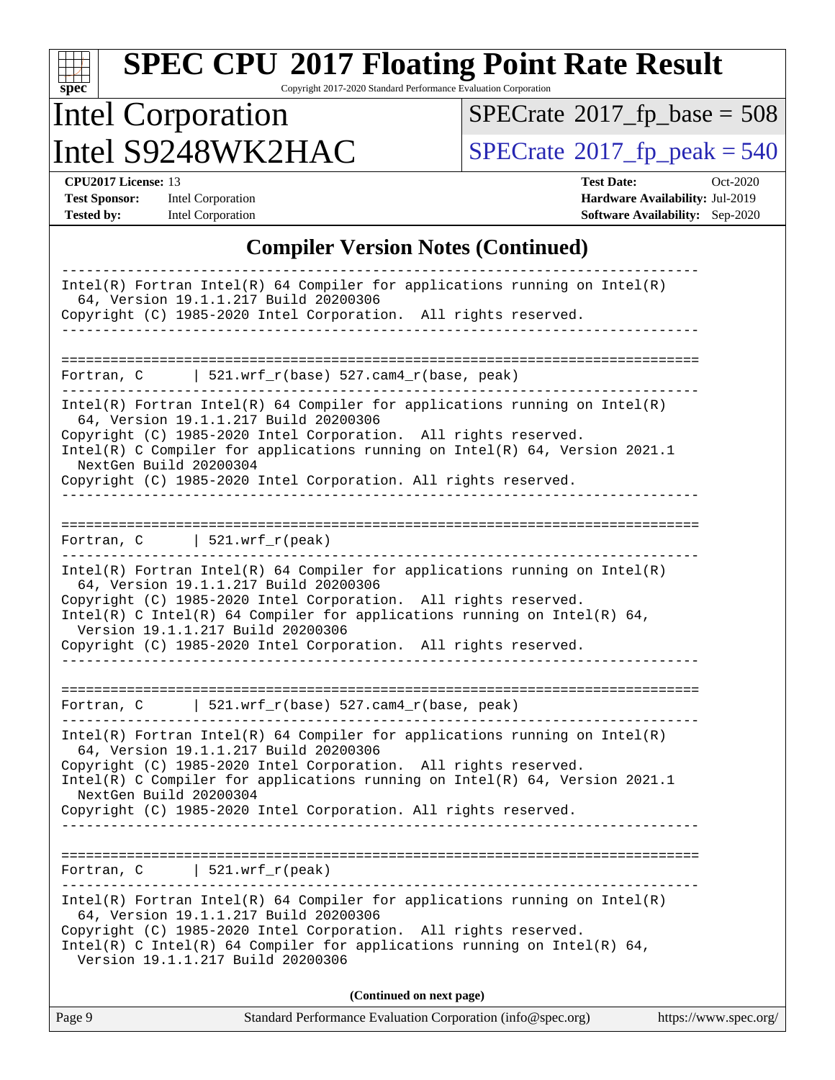Copyright 2017-2020 Standard Performance Evaluation Corporation

## Intel Corporation Intel  $S9248WK2HAC$  [SPECrate](http://www.spec.org/auto/cpu2017/Docs/result-fields.html#SPECrate2017fppeak)®[2017\\_fp\\_peak = 5](http://www.spec.org/auto/cpu2017/Docs/result-fields.html#SPECrate2017fppeak)40

 $SPECrate$ <sup>®</sup>[2017\\_fp\\_base =](http://www.spec.org/auto/cpu2017/Docs/result-fields.html#SPECrate2017fpbase) 508

**[spec](http://www.spec.org/)**

**[CPU2017 License:](http://www.spec.org/auto/cpu2017/Docs/result-fields.html#CPU2017License)** 13 **[Test Date:](http://www.spec.org/auto/cpu2017/Docs/result-fields.html#TestDate)** Oct-2020 **[Test Sponsor:](http://www.spec.org/auto/cpu2017/Docs/result-fields.html#TestSponsor)** Intel Corporation **[Hardware Availability:](http://www.spec.org/auto/cpu2017/Docs/result-fields.html#HardwareAvailability)** Jul-2019 **[Tested by:](http://www.spec.org/auto/cpu2017/Docs/result-fields.html#Testedby)** Intel Corporation **[Software Availability:](http://www.spec.org/auto/cpu2017/Docs/result-fields.html#SoftwareAvailability)** Sep-2020

#### **[Compiler Version Notes \(Continued\)](http://www.spec.org/auto/cpu2017/Docs/result-fields.html#CompilerVersionNotes)**

| $Intel(R)$ Fortran Intel(R) 64 Compiler for applications running on Intel(R)<br>64, Version 19.1.1.217 Build 20200306<br>Copyright (C) 1985-2020 Intel Corporation. All rights reserved.                                                                                                                                                                                                                  |
|-----------------------------------------------------------------------------------------------------------------------------------------------------------------------------------------------------------------------------------------------------------------------------------------------------------------------------------------------------------------------------------------------------------|
| Fortran, C 521.wrf_r(base) 527.cam4_r(base, peak)                                                                                                                                                                                                                                                                                                                                                         |
| $Intel(R)$ Fortran Intel(R) 64 Compiler for applications running on Intel(R)<br>64, Version 19.1.1.217 Build 20200306<br>Copyright (C) 1985-2020 Intel Corporation. All rights reserved.<br>Intel(R) C Compiler for applications running on Intel(R) $64$ , Version 2021.1<br>NextGen Build 20200304<br>Copyright (C) 1985-2020 Intel Corporation. All rights reserved.                                   |
| Fortran, C   521.wrf_r(peak)                                                                                                                                                                                                                                                                                                                                                                              |
| $Intel(R)$ Fortran Intel(R) 64 Compiler for applications running on Intel(R)<br>64, Version 19.1.1.217 Build 20200306<br>Copyright (C) 1985-2020 Intel Corporation. All rights reserved.<br>Intel(R) C Intel(R) 64 Compiler for applications running on Intel(R) 64,<br>Version 19.1.1.217 Build 20200306<br>Copyright (C) 1985-2020 Intel Corporation. All rights reserved.<br>_________________________ |
| Fortran, $C$   521.wrf_r(base) 527.cam4_r(base, peak)                                                                                                                                                                                                                                                                                                                                                     |
| $Intel(R)$ Fortran Intel(R) 64 Compiler for applications running on Intel(R)<br>64, Version 19.1.1.217 Build 20200306<br>Copyright (C) 1985-2020 Intel Corporation. All rights reserved.<br>Intel(R) C Compiler for applications running on Intel(R) 64, Version 2021.1<br>NextGen Build 20200304<br>Copyright (C) 1985-2020 Intel Corporation. All rights reserved.                                      |
| $ $ 521.wrf_r(peak)<br>Fortran, C                                                                                                                                                                                                                                                                                                                                                                         |
| $Intel(R)$ Fortran Intel(R) 64 Compiler for applications running on Intel(R)<br>64, Version 19.1.1.217 Build 20200306<br>Copyright (C) 1985-2020 Intel Corporation. All rights reserved.<br>Intel(R) C Intel(R) 64 Compiler for applications running on Intel(R) 64,<br>Version 19.1.1.217 Build 20200306                                                                                                 |
| (Continued on next page)                                                                                                                                                                                                                                                                                                                                                                                  |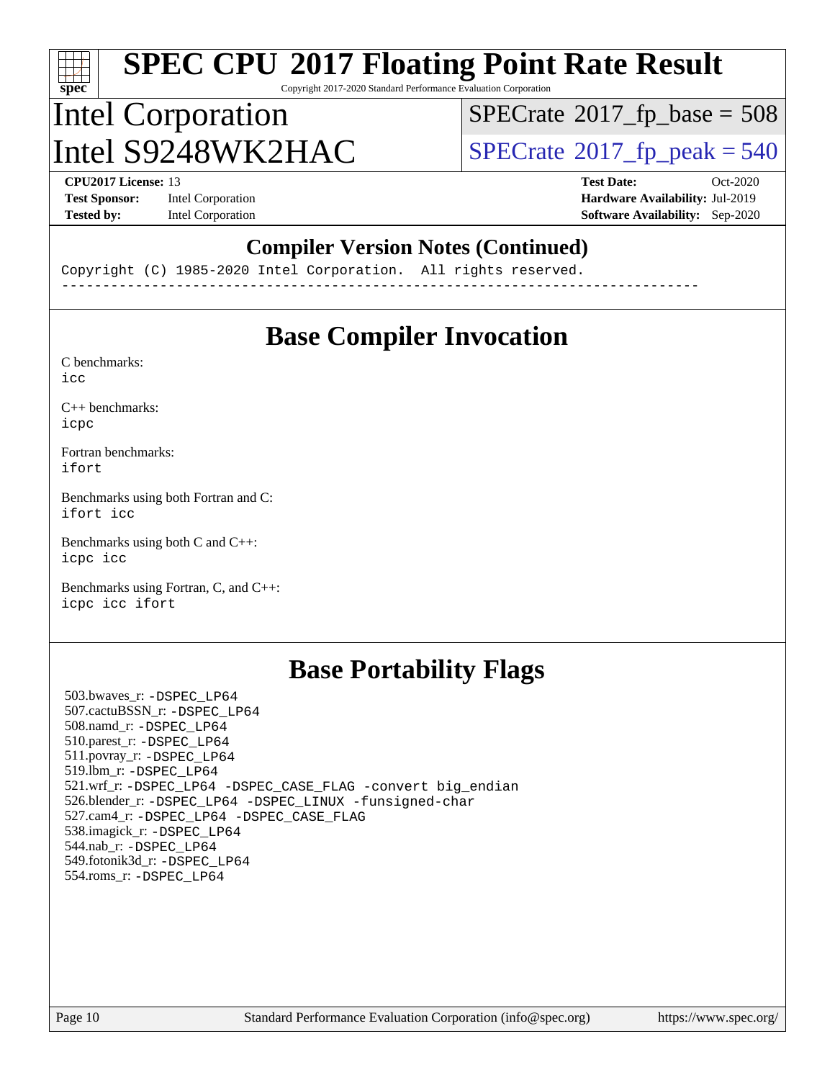Copyright 2017-2020 Standard Performance Evaluation Corporation

## Intel Corporation Intel  $S9248WK2HAC$  [SPECrate](http://www.spec.org/auto/cpu2017/Docs/result-fields.html#SPECrate2017fppeak)®[2017\\_fp\\_peak = 5](http://www.spec.org/auto/cpu2017/Docs/result-fields.html#SPECrate2017fppeak)40

 $SPECTate$ <sup>®</sup>[2017\\_fp\\_base =](http://www.spec.org/auto/cpu2017/Docs/result-fields.html#SPECrate2017fpbase) 508

**[spec](http://www.spec.org/)**

**[Tested by:](http://www.spec.org/auto/cpu2017/Docs/result-fields.html#Testedby)** Intel Corporation **[Software Availability:](http://www.spec.org/auto/cpu2017/Docs/result-fields.html#SoftwareAvailability)** Sep-2020

**[CPU2017 License:](http://www.spec.org/auto/cpu2017/Docs/result-fields.html#CPU2017License)** 13 **[Test Date:](http://www.spec.org/auto/cpu2017/Docs/result-fields.html#TestDate)** Oct-2020 **[Test Sponsor:](http://www.spec.org/auto/cpu2017/Docs/result-fields.html#TestSponsor)** Intel Corporation **[Hardware Availability:](http://www.spec.org/auto/cpu2017/Docs/result-fields.html#HardwareAvailability)** Jul-2019

#### **[Compiler Version Notes \(Continued\)](http://www.spec.org/auto/cpu2017/Docs/result-fields.html#CompilerVersionNotes)**

Copyright (C) 1985-2020 Intel Corporation. All rights reserved. ------------------------------------------------------------------------------

#### **[Base Compiler Invocation](http://www.spec.org/auto/cpu2017/Docs/result-fields.html#BaseCompilerInvocation)**

[C benchmarks](http://www.spec.org/auto/cpu2017/Docs/result-fields.html#Cbenchmarks): [icc](http://www.spec.org/cpu2017/results/res2020q4/cpu2017-20201013-24196.flags.html#user_CCbase_intel_icc_66fc1ee009f7361af1fbd72ca7dcefbb700085f36577c54f309893dd4ec40d12360134090235512931783d35fd58c0460139e722d5067c5574d8eaf2b3e37e92)

[C++ benchmarks:](http://www.spec.org/auto/cpu2017/Docs/result-fields.html#CXXbenchmarks) [icpc](http://www.spec.org/cpu2017/results/res2020q4/cpu2017-20201013-24196.flags.html#user_CXXbase_intel_icpc_c510b6838c7f56d33e37e94d029a35b4a7bccf4766a728ee175e80a419847e808290a9b78be685c44ab727ea267ec2f070ec5dc83b407c0218cded6866a35d07)

[Fortran benchmarks](http://www.spec.org/auto/cpu2017/Docs/result-fields.html#Fortranbenchmarks): [ifort](http://www.spec.org/cpu2017/results/res2020q4/cpu2017-20201013-24196.flags.html#user_FCbase_intel_ifort_8111460550e3ca792625aed983ce982f94888b8b503583aa7ba2b8303487b4d8a21a13e7191a45c5fd58ff318f48f9492884d4413fa793fd88dd292cad7027ca)

[Benchmarks using both Fortran and C](http://www.spec.org/auto/cpu2017/Docs/result-fields.html#BenchmarksusingbothFortranandC): [ifort](http://www.spec.org/cpu2017/results/res2020q4/cpu2017-20201013-24196.flags.html#user_CC_FCbase_intel_ifort_8111460550e3ca792625aed983ce982f94888b8b503583aa7ba2b8303487b4d8a21a13e7191a45c5fd58ff318f48f9492884d4413fa793fd88dd292cad7027ca) [icc](http://www.spec.org/cpu2017/results/res2020q4/cpu2017-20201013-24196.flags.html#user_CC_FCbase_intel_icc_66fc1ee009f7361af1fbd72ca7dcefbb700085f36577c54f309893dd4ec40d12360134090235512931783d35fd58c0460139e722d5067c5574d8eaf2b3e37e92)

[Benchmarks using both C and C++](http://www.spec.org/auto/cpu2017/Docs/result-fields.html#BenchmarksusingbothCandCXX): [icpc](http://www.spec.org/cpu2017/results/res2020q4/cpu2017-20201013-24196.flags.html#user_CC_CXXbase_intel_icpc_c510b6838c7f56d33e37e94d029a35b4a7bccf4766a728ee175e80a419847e808290a9b78be685c44ab727ea267ec2f070ec5dc83b407c0218cded6866a35d07) [icc](http://www.spec.org/cpu2017/results/res2020q4/cpu2017-20201013-24196.flags.html#user_CC_CXXbase_intel_icc_66fc1ee009f7361af1fbd72ca7dcefbb700085f36577c54f309893dd4ec40d12360134090235512931783d35fd58c0460139e722d5067c5574d8eaf2b3e37e92)

[Benchmarks using Fortran, C, and C++:](http://www.spec.org/auto/cpu2017/Docs/result-fields.html#BenchmarksusingFortranCandCXX) [icpc](http://www.spec.org/cpu2017/results/res2020q4/cpu2017-20201013-24196.flags.html#user_CC_CXX_FCbase_intel_icpc_c510b6838c7f56d33e37e94d029a35b4a7bccf4766a728ee175e80a419847e808290a9b78be685c44ab727ea267ec2f070ec5dc83b407c0218cded6866a35d07) [icc](http://www.spec.org/cpu2017/results/res2020q4/cpu2017-20201013-24196.flags.html#user_CC_CXX_FCbase_intel_icc_66fc1ee009f7361af1fbd72ca7dcefbb700085f36577c54f309893dd4ec40d12360134090235512931783d35fd58c0460139e722d5067c5574d8eaf2b3e37e92) [ifort](http://www.spec.org/cpu2017/results/res2020q4/cpu2017-20201013-24196.flags.html#user_CC_CXX_FCbase_intel_ifort_8111460550e3ca792625aed983ce982f94888b8b503583aa7ba2b8303487b4d8a21a13e7191a45c5fd58ff318f48f9492884d4413fa793fd88dd292cad7027ca)

#### **[Base Portability Flags](http://www.spec.org/auto/cpu2017/Docs/result-fields.html#BasePortabilityFlags)**

 503.bwaves\_r: [-DSPEC\\_LP64](http://www.spec.org/cpu2017/results/res2020q4/cpu2017-20201013-24196.flags.html#suite_basePORTABILITY503_bwaves_r_DSPEC_LP64) 507.cactuBSSN\_r: [-DSPEC\\_LP64](http://www.spec.org/cpu2017/results/res2020q4/cpu2017-20201013-24196.flags.html#suite_basePORTABILITY507_cactuBSSN_r_DSPEC_LP64) 508.namd\_r: [-DSPEC\\_LP64](http://www.spec.org/cpu2017/results/res2020q4/cpu2017-20201013-24196.flags.html#suite_basePORTABILITY508_namd_r_DSPEC_LP64) 510.parest\_r: [-DSPEC\\_LP64](http://www.spec.org/cpu2017/results/res2020q4/cpu2017-20201013-24196.flags.html#suite_basePORTABILITY510_parest_r_DSPEC_LP64) 511.povray\_r: [-DSPEC\\_LP64](http://www.spec.org/cpu2017/results/res2020q4/cpu2017-20201013-24196.flags.html#suite_basePORTABILITY511_povray_r_DSPEC_LP64) 519.lbm\_r: [-DSPEC\\_LP64](http://www.spec.org/cpu2017/results/res2020q4/cpu2017-20201013-24196.flags.html#suite_basePORTABILITY519_lbm_r_DSPEC_LP64) 521.wrf\_r: [-DSPEC\\_LP64](http://www.spec.org/cpu2017/results/res2020q4/cpu2017-20201013-24196.flags.html#suite_basePORTABILITY521_wrf_r_DSPEC_LP64) [-DSPEC\\_CASE\\_FLAG](http://www.spec.org/cpu2017/results/res2020q4/cpu2017-20201013-24196.flags.html#b521.wrf_r_baseCPORTABILITY_DSPEC_CASE_FLAG) [-convert big\\_endian](http://www.spec.org/cpu2017/results/res2020q4/cpu2017-20201013-24196.flags.html#user_baseFPORTABILITY521_wrf_r_convert_big_endian_c3194028bc08c63ac5d04de18c48ce6d347e4e562e8892b8bdbdc0214820426deb8554edfa529a3fb25a586e65a3d812c835984020483e7e73212c4d31a38223) 526.blender\_r: [-DSPEC\\_LP64](http://www.spec.org/cpu2017/results/res2020q4/cpu2017-20201013-24196.flags.html#suite_basePORTABILITY526_blender_r_DSPEC_LP64) [-DSPEC\\_LINUX](http://www.spec.org/cpu2017/results/res2020q4/cpu2017-20201013-24196.flags.html#b526.blender_r_baseCPORTABILITY_DSPEC_LINUX) [-funsigned-char](http://www.spec.org/cpu2017/results/res2020q4/cpu2017-20201013-24196.flags.html#user_baseCPORTABILITY526_blender_r_force_uchar_40c60f00ab013830e2dd6774aeded3ff59883ba5a1fc5fc14077f794d777847726e2a5858cbc7672e36e1b067e7e5c1d9a74f7176df07886a243d7cc18edfe67) 527.cam4\_r: [-DSPEC\\_LP64](http://www.spec.org/cpu2017/results/res2020q4/cpu2017-20201013-24196.flags.html#suite_basePORTABILITY527_cam4_r_DSPEC_LP64) [-DSPEC\\_CASE\\_FLAG](http://www.spec.org/cpu2017/results/res2020q4/cpu2017-20201013-24196.flags.html#b527.cam4_r_baseCPORTABILITY_DSPEC_CASE_FLAG) 538.imagick\_r: [-DSPEC\\_LP64](http://www.spec.org/cpu2017/results/res2020q4/cpu2017-20201013-24196.flags.html#suite_basePORTABILITY538_imagick_r_DSPEC_LP64) 544.nab\_r: [-DSPEC\\_LP64](http://www.spec.org/cpu2017/results/res2020q4/cpu2017-20201013-24196.flags.html#suite_basePORTABILITY544_nab_r_DSPEC_LP64) 549.fotonik3d\_r: [-DSPEC\\_LP64](http://www.spec.org/cpu2017/results/res2020q4/cpu2017-20201013-24196.flags.html#suite_basePORTABILITY549_fotonik3d_r_DSPEC_LP64) 554.roms\_r: [-DSPEC\\_LP64](http://www.spec.org/cpu2017/results/res2020q4/cpu2017-20201013-24196.flags.html#suite_basePORTABILITY554_roms_r_DSPEC_LP64)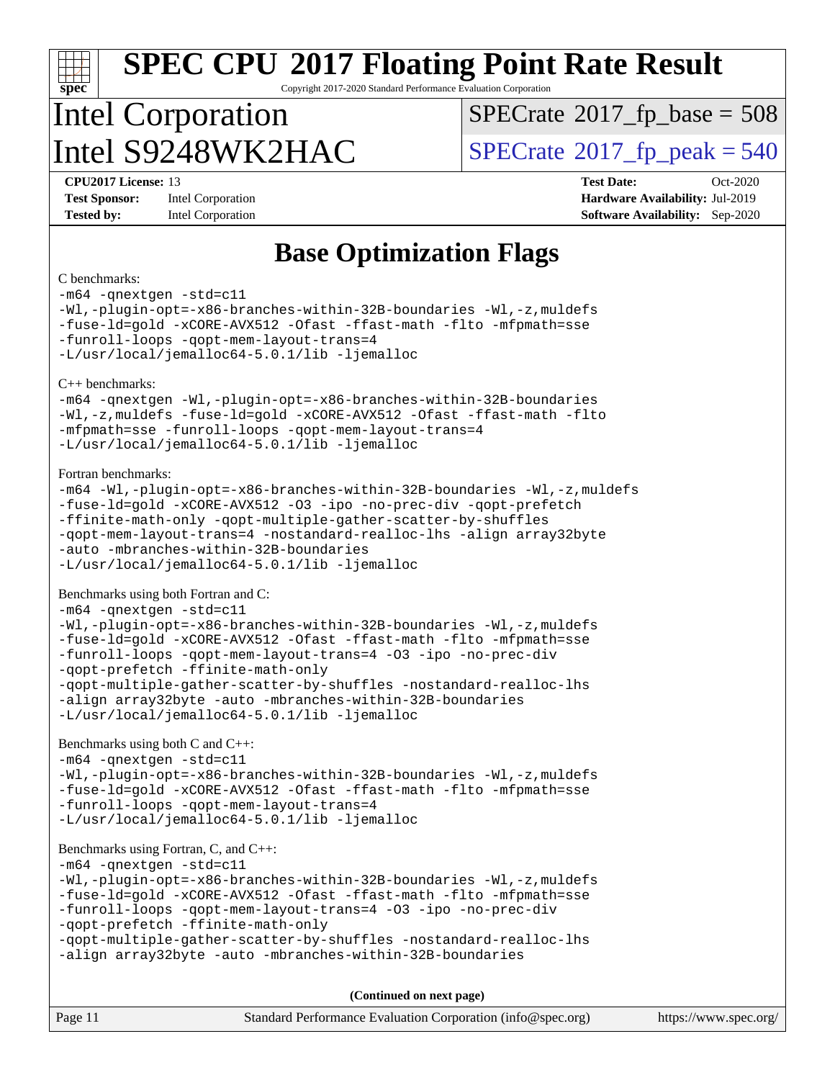# **[spec](http://www.spec.org/)**

# **[SPEC CPU](http://www.spec.org/auto/cpu2017/Docs/result-fields.html#SPECCPU2017FloatingPointRateResult)[2017 Floating Point Rate Result](http://www.spec.org/auto/cpu2017/Docs/result-fields.html#SPECCPU2017FloatingPointRateResult)**

Copyright 2017-2020 Standard Performance Evaluation Corporation

## Intel Corporation Intel  $S9248WK2HAC$  [SPECrate](http://www.spec.org/auto/cpu2017/Docs/result-fields.html#SPECrate2017fppeak)®[2017\\_fp\\_peak = 5](http://www.spec.org/auto/cpu2017/Docs/result-fields.html#SPECrate2017fppeak)40

 $SPECTate$ <sup>®</sup>[2017\\_fp\\_base =](http://www.spec.org/auto/cpu2017/Docs/result-fields.html#SPECrate2017fpbase) 508

**[Test Sponsor:](http://www.spec.org/auto/cpu2017/Docs/result-fields.html#TestSponsor)** Intel Corporation **[Hardware Availability:](http://www.spec.org/auto/cpu2017/Docs/result-fields.html#HardwareAvailability)** Jul-2019

**[CPU2017 License:](http://www.spec.org/auto/cpu2017/Docs/result-fields.html#CPU2017License)** 13 **[Test Date:](http://www.spec.org/auto/cpu2017/Docs/result-fields.html#TestDate)** Oct-2020 **[Tested by:](http://www.spec.org/auto/cpu2017/Docs/result-fields.html#Testedby)** Intel Corporation **[Software Availability:](http://www.spec.org/auto/cpu2017/Docs/result-fields.html#SoftwareAvailability)** Sep-2020

#### **[Base Optimization Flags](http://www.spec.org/auto/cpu2017/Docs/result-fields.html#BaseOptimizationFlags)**

#### [C benchmarks](http://www.spec.org/auto/cpu2017/Docs/result-fields.html#Cbenchmarks):

[-m64](http://www.spec.org/cpu2017/results/res2020q4/cpu2017-20201013-24196.flags.html#user_CCbase_m64-icc) [-qnextgen](http://www.spec.org/cpu2017/results/res2020q4/cpu2017-20201013-24196.flags.html#user_CCbase_f-qnextgen) [-std=c11](http://www.spec.org/cpu2017/results/res2020q4/cpu2017-20201013-24196.flags.html#user_CCbase_std-icc-std_0e1c27790398a4642dfca32ffe6c27b5796f9c2d2676156f2e42c9c44eaad0c049b1cdb667a270c34d979996257aeb8fc440bfb01818dbc9357bd9d174cb8524) [-Wl,-plugin-opt=-x86-branches-within-32B-boundaries](http://www.spec.org/cpu2017/results/res2020q4/cpu2017-20201013-24196.flags.html#user_CCbase_f-x86-branches-within-32B-boundaries_0098b4e4317ae60947b7b728078a624952a08ac37a3c797dfb4ffeb399e0c61a9dd0f2f44ce917e9361fb9076ccb15e7824594512dd315205382d84209e912f3) [-Wl,-z,muldefs](http://www.spec.org/cpu2017/results/res2020q4/cpu2017-20201013-24196.flags.html#user_CCbase_link_force_multiple1_b4cbdb97b34bdee9ceefcfe54f4c8ea74255f0b02a4b23e853cdb0e18eb4525ac79b5a88067c842dd0ee6996c24547a27a4b99331201badda8798ef8a743f577) [-fuse-ld=gold](http://www.spec.org/cpu2017/results/res2020q4/cpu2017-20201013-24196.flags.html#user_CCbase_f-fuse-ld_920b3586e2b8c6e0748b9c84fa9b744736ba725a32cab14ad8f3d4ad28eecb2f59d1144823d2e17006539a88734fe1fc08fc3035f7676166309105a78aaabc32) [-xCORE-AVX512](http://www.spec.org/cpu2017/results/res2020q4/cpu2017-20201013-24196.flags.html#user_CCbase_f-xCORE-AVX512) [-Ofast](http://www.spec.org/cpu2017/results/res2020q4/cpu2017-20201013-24196.flags.html#user_CCbase_f-Ofast) [-ffast-math](http://www.spec.org/cpu2017/results/res2020q4/cpu2017-20201013-24196.flags.html#user_CCbase_f-ffast-math) [-flto](http://www.spec.org/cpu2017/results/res2020q4/cpu2017-20201013-24196.flags.html#user_CCbase_f-flto) [-mfpmath=sse](http://www.spec.org/cpu2017/results/res2020q4/cpu2017-20201013-24196.flags.html#user_CCbase_f-mfpmath_70eb8fac26bde974f8ab713bc9086c5621c0b8d2f6c86f38af0bd7062540daf19db5f3a066d8c6684be05d84c9b6322eb3b5be6619d967835195b93d6c02afa1) [-funroll-loops](http://www.spec.org/cpu2017/results/res2020q4/cpu2017-20201013-24196.flags.html#user_CCbase_f-funroll-loops) [-qopt-mem-layout-trans=4](http://www.spec.org/cpu2017/results/res2020q4/cpu2017-20201013-24196.flags.html#user_CCbase_f-qopt-mem-layout-trans_fa39e755916c150a61361b7846f310bcdf6f04e385ef281cadf3647acec3f0ae266d1a1d22d972a7087a248fd4e6ca390a3634700869573d231a252c784941a8) [-L/usr/local/jemalloc64-5.0.1/lib](http://www.spec.org/cpu2017/results/res2020q4/cpu2017-20201013-24196.flags.html#user_CCbase_jemalloc_link_path64_1_cc289568b1a6c0fd3b62c91b824c27fcb5af5e8098e6ad028160d21144ef1b8aef3170d2acf0bee98a8da324cfe4f67d0a3d0c4cc4673d993d694dc2a0df248b) [-ljemalloc](http://www.spec.org/cpu2017/results/res2020q4/cpu2017-20201013-24196.flags.html#user_CCbase_jemalloc_link_lib_d1249b907c500fa1c0672f44f562e3d0f79738ae9e3c4a9c376d49f265a04b9c99b167ecedbf6711b3085be911c67ff61f150a17b3472be731631ba4d0471706) [C++ benchmarks](http://www.spec.org/auto/cpu2017/Docs/result-fields.html#CXXbenchmarks): [-m64](http://www.spec.org/cpu2017/results/res2020q4/cpu2017-20201013-24196.flags.html#user_CXXbase_m64-icc) [-qnextgen](http://www.spec.org/cpu2017/results/res2020q4/cpu2017-20201013-24196.flags.html#user_CXXbase_f-qnextgen) [-Wl,-plugin-opt=-x86-branches-within-32B-boundaries](http://www.spec.org/cpu2017/results/res2020q4/cpu2017-20201013-24196.flags.html#user_CXXbase_f-x86-branches-within-32B-boundaries_0098b4e4317ae60947b7b728078a624952a08ac37a3c797dfb4ffeb399e0c61a9dd0f2f44ce917e9361fb9076ccb15e7824594512dd315205382d84209e912f3) [-Wl,-z,muldefs](http://www.spec.org/cpu2017/results/res2020q4/cpu2017-20201013-24196.flags.html#user_CXXbase_link_force_multiple1_b4cbdb97b34bdee9ceefcfe54f4c8ea74255f0b02a4b23e853cdb0e18eb4525ac79b5a88067c842dd0ee6996c24547a27a4b99331201badda8798ef8a743f577) [-fuse-ld=gold](http://www.spec.org/cpu2017/results/res2020q4/cpu2017-20201013-24196.flags.html#user_CXXbase_f-fuse-ld_920b3586e2b8c6e0748b9c84fa9b744736ba725a32cab14ad8f3d4ad28eecb2f59d1144823d2e17006539a88734fe1fc08fc3035f7676166309105a78aaabc32) [-xCORE-AVX512](http://www.spec.org/cpu2017/results/res2020q4/cpu2017-20201013-24196.flags.html#user_CXXbase_f-xCORE-AVX512) [-Ofast](http://www.spec.org/cpu2017/results/res2020q4/cpu2017-20201013-24196.flags.html#user_CXXbase_f-Ofast) [-ffast-math](http://www.spec.org/cpu2017/results/res2020q4/cpu2017-20201013-24196.flags.html#user_CXXbase_f-ffast-math) [-flto](http://www.spec.org/cpu2017/results/res2020q4/cpu2017-20201013-24196.flags.html#user_CXXbase_f-flto) [-mfpmath=sse](http://www.spec.org/cpu2017/results/res2020q4/cpu2017-20201013-24196.flags.html#user_CXXbase_f-mfpmath_70eb8fac26bde974f8ab713bc9086c5621c0b8d2f6c86f38af0bd7062540daf19db5f3a066d8c6684be05d84c9b6322eb3b5be6619d967835195b93d6c02afa1) [-funroll-loops](http://www.spec.org/cpu2017/results/res2020q4/cpu2017-20201013-24196.flags.html#user_CXXbase_f-funroll-loops) [-qopt-mem-layout-trans=4](http://www.spec.org/cpu2017/results/res2020q4/cpu2017-20201013-24196.flags.html#user_CXXbase_f-qopt-mem-layout-trans_fa39e755916c150a61361b7846f310bcdf6f04e385ef281cadf3647acec3f0ae266d1a1d22d972a7087a248fd4e6ca390a3634700869573d231a252c784941a8) [-L/usr/local/jemalloc64-5.0.1/lib](http://www.spec.org/cpu2017/results/res2020q4/cpu2017-20201013-24196.flags.html#user_CXXbase_jemalloc_link_path64_1_cc289568b1a6c0fd3b62c91b824c27fcb5af5e8098e6ad028160d21144ef1b8aef3170d2acf0bee98a8da324cfe4f67d0a3d0c4cc4673d993d694dc2a0df248b) [-ljemalloc](http://www.spec.org/cpu2017/results/res2020q4/cpu2017-20201013-24196.flags.html#user_CXXbase_jemalloc_link_lib_d1249b907c500fa1c0672f44f562e3d0f79738ae9e3c4a9c376d49f265a04b9c99b167ecedbf6711b3085be911c67ff61f150a17b3472be731631ba4d0471706) [Fortran benchmarks:](http://www.spec.org/auto/cpu2017/Docs/result-fields.html#Fortranbenchmarks) [-m64](http://www.spec.org/cpu2017/results/res2020q4/cpu2017-20201013-24196.flags.html#user_FCbase_m64-icc) [-Wl,-plugin-opt=-x86-branches-within-32B-boundaries](http://www.spec.org/cpu2017/results/res2020q4/cpu2017-20201013-24196.flags.html#user_FCbase_f-x86-branches-within-32B-boundaries_0098b4e4317ae60947b7b728078a624952a08ac37a3c797dfb4ffeb399e0c61a9dd0f2f44ce917e9361fb9076ccb15e7824594512dd315205382d84209e912f3) [-Wl,-z,muldefs](http://www.spec.org/cpu2017/results/res2020q4/cpu2017-20201013-24196.flags.html#user_FCbase_link_force_multiple1_b4cbdb97b34bdee9ceefcfe54f4c8ea74255f0b02a4b23e853cdb0e18eb4525ac79b5a88067c842dd0ee6996c24547a27a4b99331201badda8798ef8a743f577) [-fuse-ld=gold](http://www.spec.org/cpu2017/results/res2020q4/cpu2017-20201013-24196.flags.html#user_FCbase_f-fuse-ld_920b3586e2b8c6e0748b9c84fa9b744736ba725a32cab14ad8f3d4ad28eecb2f59d1144823d2e17006539a88734fe1fc08fc3035f7676166309105a78aaabc32) [-xCORE-AVX512](http://www.spec.org/cpu2017/results/res2020q4/cpu2017-20201013-24196.flags.html#user_FCbase_f-xCORE-AVX512) [-O3](http://www.spec.org/cpu2017/results/res2020q4/cpu2017-20201013-24196.flags.html#user_FCbase_f-O3) [-ipo](http://www.spec.org/cpu2017/results/res2020q4/cpu2017-20201013-24196.flags.html#user_FCbase_f-ipo) [-no-prec-div](http://www.spec.org/cpu2017/results/res2020q4/cpu2017-20201013-24196.flags.html#user_FCbase_f-no-prec-div) [-qopt-prefetch](http://www.spec.org/cpu2017/results/res2020q4/cpu2017-20201013-24196.flags.html#user_FCbase_f-qopt-prefetch) [-ffinite-math-only](http://www.spec.org/cpu2017/results/res2020q4/cpu2017-20201013-24196.flags.html#user_FCbase_f_finite_math_only_cb91587bd2077682c4b38af759c288ed7c732db004271a9512da14a4f8007909a5f1427ecbf1a0fb78ff2a814402c6114ac565ca162485bbcae155b5e4258871) [-qopt-multiple-gather-scatter-by-shuffles](http://www.spec.org/cpu2017/results/res2020q4/cpu2017-20201013-24196.flags.html#user_FCbase_f-qopt-multiple-gather-scatter-by-shuffles) [-qopt-mem-layout-trans=4](http://www.spec.org/cpu2017/results/res2020q4/cpu2017-20201013-24196.flags.html#user_FCbase_f-qopt-mem-layout-trans_fa39e755916c150a61361b7846f310bcdf6f04e385ef281cadf3647acec3f0ae266d1a1d22d972a7087a248fd4e6ca390a3634700869573d231a252c784941a8) [-nostandard-realloc-lhs](http://www.spec.org/cpu2017/results/res2020q4/cpu2017-20201013-24196.flags.html#user_FCbase_f_2003_std_realloc_82b4557e90729c0f113870c07e44d33d6f5a304b4f63d4c15d2d0f1fab99f5daaed73bdb9275d9ae411527f28b936061aa8b9c8f2d63842963b95c9dd6426b8a) [-align array32byte](http://www.spec.org/cpu2017/results/res2020q4/cpu2017-20201013-24196.flags.html#user_FCbase_align_array32byte_b982fe038af199962ba9a80c053b8342c548c85b40b8e86eb3cc33dee0d7986a4af373ac2d51c3f7cf710a18d62fdce2948f201cd044323541f22fc0fffc51b6) [-auto](http://www.spec.org/cpu2017/results/res2020q4/cpu2017-20201013-24196.flags.html#user_FCbase_f-auto) [-mbranches-within-32B-boundaries](http://www.spec.org/cpu2017/results/res2020q4/cpu2017-20201013-24196.flags.html#user_FCbase_f-mbranches-within-32B-boundaries) [-L/usr/local/jemalloc64-5.0.1/lib](http://www.spec.org/cpu2017/results/res2020q4/cpu2017-20201013-24196.flags.html#user_FCbase_jemalloc_link_path64_1_cc289568b1a6c0fd3b62c91b824c27fcb5af5e8098e6ad028160d21144ef1b8aef3170d2acf0bee98a8da324cfe4f67d0a3d0c4cc4673d993d694dc2a0df248b) [-ljemalloc](http://www.spec.org/cpu2017/results/res2020q4/cpu2017-20201013-24196.flags.html#user_FCbase_jemalloc_link_lib_d1249b907c500fa1c0672f44f562e3d0f79738ae9e3c4a9c376d49f265a04b9c99b167ecedbf6711b3085be911c67ff61f150a17b3472be731631ba4d0471706) [Benchmarks using both Fortran and C](http://www.spec.org/auto/cpu2017/Docs/result-fields.html#BenchmarksusingbothFortranandC): [-m64](http://www.spec.org/cpu2017/results/res2020q4/cpu2017-20201013-24196.flags.html#user_CC_FCbase_m64-icc) [-qnextgen](http://www.spec.org/cpu2017/results/res2020q4/cpu2017-20201013-24196.flags.html#user_CC_FCbase_f-qnextgen) [-std=c11](http://www.spec.org/cpu2017/results/res2020q4/cpu2017-20201013-24196.flags.html#user_CC_FCbase_std-icc-std_0e1c27790398a4642dfca32ffe6c27b5796f9c2d2676156f2e42c9c44eaad0c049b1cdb667a270c34d979996257aeb8fc440bfb01818dbc9357bd9d174cb8524) [-Wl,-plugin-opt=-x86-branches-within-32B-boundaries](http://www.spec.org/cpu2017/results/res2020q4/cpu2017-20201013-24196.flags.html#user_CC_FCbase_f-x86-branches-within-32B-boundaries_0098b4e4317ae60947b7b728078a624952a08ac37a3c797dfb4ffeb399e0c61a9dd0f2f44ce917e9361fb9076ccb15e7824594512dd315205382d84209e912f3) [-Wl,-z,muldefs](http://www.spec.org/cpu2017/results/res2020q4/cpu2017-20201013-24196.flags.html#user_CC_FCbase_link_force_multiple1_b4cbdb97b34bdee9ceefcfe54f4c8ea74255f0b02a4b23e853cdb0e18eb4525ac79b5a88067c842dd0ee6996c24547a27a4b99331201badda8798ef8a743f577) [-fuse-ld=gold](http://www.spec.org/cpu2017/results/res2020q4/cpu2017-20201013-24196.flags.html#user_CC_FCbase_f-fuse-ld_920b3586e2b8c6e0748b9c84fa9b744736ba725a32cab14ad8f3d4ad28eecb2f59d1144823d2e17006539a88734fe1fc08fc3035f7676166309105a78aaabc32) [-xCORE-AVX512](http://www.spec.org/cpu2017/results/res2020q4/cpu2017-20201013-24196.flags.html#user_CC_FCbase_f-xCORE-AVX512) [-Ofast](http://www.spec.org/cpu2017/results/res2020q4/cpu2017-20201013-24196.flags.html#user_CC_FCbase_f-Ofast) [-ffast-math](http://www.spec.org/cpu2017/results/res2020q4/cpu2017-20201013-24196.flags.html#user_CC_FCbase_f-ffast-math) [-flto](http://www.spec.org/cpu2017/results/res2020q4/cpu2017-20201013-24196.flags.html#user_CC_FCbase_f-flto) [-mfpmath=sse](http://www.spec.org/cpu2017/results/res2020q4/cpu2017-20201013-24196.flags.html#user_CC_FCbase_f-mfpmath_70eb8fac26bde974f8ab713bc9086c5621c0b8d2f6c86f38af0bd7062540daf19db5f3a066d8c6684be05d84c9b6322eb3b5be6619d967835195b93d6c02afa1) [-funroll-loops](http://www.spec.org/cpu2017/results/res2020q4/cpu2017-20201013-24196.flags.html#user_CC_FCbase_f-funroll-loops) [-qopt-mem-layout-trans=4](http://www.spec.org/cpu2017/results/res2020q4/cpu2017-20201013-24196.flags.html#user_CC_FCbase_f-qopt-mem-layout-trans_fa39e755916c150a61361b7846f310bcdf6f04e385ef281cadf3647acec3f0ae266d1a1d22d972a7087a248fd4e6ca390a3634700869573d231a252c784941a8) [-O3](http://www.spec.org/cpu2017/results/res2020q4/cpu2017-20201013-24196.flags.html#user_CC_FCbase_f-O3) [-ipo](http://www.spec.org/cpu2017/results/res2020q4/cpu2017-20201013-24196.flags.html#user_CC_FCbase_f-ipo) [-no-prec-div](http://www.spec.org/cpu2017/results/res2020q4/cpu2017-20201013-24196.flags.html#user_CC_FCbase_f-no-prec-div) [-qopt-prefetch](http://www.spec.org/cpu2017/results/res2020q4/cpu2017-20201013-24196.flags.html#user_CC_FCbase_f-qopt-prefetch) [-ffinite-math-only](http://www.spec.org/cpu2017/results/res2020q4/cpu2017-20201013-24196.flags.html#user_CC_FCbase_f_finite_math_only_cb91587bd2077682c4b38af759c288ed7c732db004271a9512da14a4f8007909a5f1427ecbf1a0fb78ff2a814402c6114ac565ca162485bbcae155b5e4258871) [-qopt-multiple-gather-scatter-by-shuffles](http://www.spec.org/cpu2017/results/res2020q4/cpu2017-20201013-24196.flags.html#user_CC_FCbase_f-qopt-multiple-gather-scatter-by-shuffles) [-nostandard-realloc-lhs](http://www.spec.org/cpu2017/results/res2020q4/cpu2017-20201013-24196.flags.html#user_CC_FCbase_f_2003_std_realloc_82b4557e90729c0f113870c07e44d33d6f5a304b4f63d4c15d2d0f1fab99f5daaed73bdb9275d9ae411527f28b936061aa8b9c8f2d63842963b95c9dd6426b8a) [-align array32byte](http://www.spec.org/cpu2017/results/res2020q4/cpu2017-20201013-24196.flags.html#user_CC_FCbase_align_array32byte_b982fe038af199962ba9a80c053b8342c548c85b40b8e86eb3cc33dee0d7986a4af373ac2d51c3f7cf710a18d62fdce2948f201cd044323541f22fc0fffc51b6) [-auto](http://www.spec.org/cpu2017/results/res2020q4/cpu2017-20201013-24196.flags.html#user_CC_FCbase_f-auto) [-mbranches-within-32B-boundaries](http://www.spec.org/cpu2017/results/res2020q4/cpu2017-20201013-24196.flags.html#user_CC_FCbase_f-mbranches-within-32B-boundaries) [-L/usr/local/jemalloc64-5.0.1/lib](http://www.spec.org/cpu2017/results/res2020q4/cpu2017-20201013-24196.flags.html#user_CC_FCbase_jemalloc_link_path64_1_cc289568b1a6c0fd3b62c91b824c27fcb5af5e8098e6ad028160d21144ef1b8aef3170d2acf0bee98a8da324cfe4f67d0a3d0c4cc4673d993d694dc2a0df248b) [-ljemalloc](http://www.spec.org/cpu2017/results/res2020q4/cpu2017-20201013-24196.flags.html#user_CC_FCbase_jemalloc_link_lib_d1249b907c500fa1c0672f44f562e3d0f79738ae9e3c4a9c376d49f265a04b9c99b167ecedbf6711b3085be911c67ff61f150a17b3472be731631ba4d0471706) [Benchmarks using both C and C++:](http://www.spec.org/auto/cpu2017/Docs/result-fields.html#BenchmarksusingbothCandCXX) [-m64](http://www.spec.org/cpu2017/results/res2020q4/cpu2017-20201013-24196.flags.html#user_CC_CXXbase_m64-icc) [-qnextgen](http://www.spec.org/cpu2017/results/res2020q4/cpu2017-20201013-24196.flags.html#user_CC_CXXbase_f-qnextgen) [-std=c11](http://www.spec.org/cpu2017/results/res2020q4/cpu2017-20201013-24196.flags.html#user_CC_CXXbase_std-icc-std_0e1c27790398a4642dfca32ffe6c27b5796f9c2d2676156f2e42c9c44eaad0c049b1cdb667a270c34d979996257aeb8fc440bfb01818dbc9357bd9d174cb8524) [-Wl,-plugin-opt=-x86-branches-within-32B-boundaries](http://www.spec.org/cpu2017/results/res2020q4/cpu2017-20201013-24196.flags.html#user_CC_CXXbase_f-x86-branches-within-32B-boundaries_0098b4e4317ae60947b7b728078a624952a08ac37a3c797dfb4ffeb399e0c61a9dd0f2f44ce917e9361fb9076ccb15e7824594512dd315205382d84209e912f3) [-Wl,-z,muldefs](http://www.spec.org/cpu2017/results/res2020q4/cpu2017-20201013-24196.flags.html#user_CC_CXXbase_link_force_multiple1_b4cbdb97b34bdee9ceefcfe54f4c8ea74255f0b02a4b23e853cdb0e18eb4525ac79b5a88067c842dd0ee6996c24547a27a4b99331201badda8798ef8a743f577) [-fuse-ld=gold](http://www.spec.org/cpu2017/results/res2020q4/cpu2017-20201013-24196.flags.html#user_CC_CXXbase_f-fuse-ld_920b3586e2b8c6e0748b9c84fa9b744736ba725a32cab14ad8f3d4ad28eecb2f59d1144823d2e17006539a88734fe1fc08fc3035f7676166309105a78aaabc32) [-xCORE-AVX512](http://www.spec.org/cpu2017/results/res2020q4/cpu2017-20201013-24196.flags.html#user_CC_CXXbase_f-xCORE-AVX512) [-Ofast](http://www.spec.org/cpu2017/results/res2020q4/cpu2017-20201013-24196.flags.html#user_CC_CXXbase_f-Ofast) [-ffast-math](http://www.spec.org/cpu2017/results/res2020q4/cpu2017-20201013-24196.flags.html#user_CC_CXXbase_f-ffast-math) [-flto](http://www.spec.org/cpu2017/results/res2020q4/cpu2017-20201013-24196.flags.html#user_CC_CXXbase_f-flto) [-mfpmath=sse](http://www.spec.org/cpu2017/results/res2020q4/cpu2017-20201013-24196.flags.html#user_CC_CXXbase_f-mfpmath_70eb8fac26bde974f8ab713bc9086c5621c0b8d2f6c86f38af0bd7062540daf19db5f3a066d8c6684be05d84c9b6322eb3b5be6619d967835195b93d6c02afa1) [-funroll-loops](http://www.spec.org/cpu2017/results/res2020q4/cpu2017-20201013-24196.flags.html#user_CC_CXXbase_f-funroll-loops) [-qopt-mem-layout-trans=4](http://www.spec.org/cpu2017/results/res2020q4/cpu2017-20201013-24196.flags.html#user_CC_CXXbase_f-qopt-mem-layout-trans_fa39e755916c150a61361b7846f310bcdf6f04e385ef281cadf3647acec3f0ae266d1a1d22d972a7087a248fd4e6ca390a3634700869573d231a252c784941a8) [-L/usr/local/jemalloc64-5.0.1/lib](http://www.spec.org/cpu2017/results/res2020q4/cpu2017-20201013-24196.flags.html#user_CC_CXXbase_jemalloc_link_path64_1_cc289568b1a6c0fd3b62c91b824c27fcb5af5e8098e6ad028160d21144ef1b8aef3170d2acf0bee98a8da324cfe4f67d0a3d0c4cc4673d993d694dc2a0df248b) [-ljemalloc](http://www.spec.org/cpu2017/results/res2020q4/cpu2017-20201013-24196.flags.html#user_CC_CXXbase_jemalloc_link_lib_d1249b907c500fa1c0672f44f562e3d0f79738ae9e3c4a9c376d49f265a04b9c99b167ecedbf6711b3085be911c67ff61f150a17b3472be731631ba4d0471706) [Benchmarks using Fortran, C, and C++](http://www.spec.org/auto/cpu2017/Docs/result-fields.html#BenchmarksusingFortranCandCXX): [-m64](http://www.spec.org/cpu2017/results/res2020q4/cpu2017-20201013-24196.flags.html#user_CC_CXX_FCbase_m64-icc) [-qnextgen](http://www.spec.org/cpu2017/results/res2020q4/cpu2017-20201013-24196.flags.html#user_CC_CXX_FCbase_f-qnextgen) [-std=c11](http://www.spec.org/cpu2017/results/res2020q4/cpu2017-20201013-24196.flags.html#user_CC_CXX_FCbase_std-icc-std_0e1c27790398a4642dfca32ffe6c27b5796f9c2d2676156f2e42c9c44eaad0c049b1cdb667a270c34d979996257aeb8fc440bfb01818dbc9357bd9d174cb8524) [-Wl,-plugin-opt=-x86-branches-within-32B-boundaries](http://www.spec.org/cpu2017/results/res2020q4/cpu2017-20201013-24196.flags.html#user_CC_CXX_FCbase_f-x86-branches-within-32B-boundaries_0098b4e4317ae60947b7b728078a624952a08ac37a3c797dfb4ffeb399e0c61a9dd0f2f44ce917e9361fb9076ccb15e7824594512dd315205382d84209e912f3) [-Wl,-z,muldefs](http://www.spec.org/cpu2017/results/res2020q4/cpu2017-20201013-24196.flags.html#user_CC_CXX_FCbase_link_force_multiple1_b4cbdb97b34bdee9ceefcfe54f4c8ea74255f0b02a4b23e853cdb0e18eb4525ac79b5a88067c842dd0ee6996c24547a27a4b99331201badda8798ef8a743f577) [-fuse-ld=gold](http://www.spec.org/cpu2017/results/res2020q4/cpu2017-20201013-24196.flags.html#user_CC_CXX_FCbase_f-fuse-ld_920b3586e2b8c6e0748b9c84fa9b744736ba725a32cab14ad8f3d4ad28eecb2f59d1144823d2e17006539a88734fe1fc08fc3035f7676166309105a78aaabc32) [-xCORE-AVX512](http://www.spec.org/cpu2017/results/res2020q4/cpu2017-20201013-24196.flags.html#user_CC_CXX_FCbase_f-xCORE-AVX512) [-Ofast](http://www.spec.org/cpu2017/results/res2020q4/cpu2017-20201013-24196.flags.html#user_CC_CXX_FCbase_f-Ofast) [-ffast-math](http://www.spec.org/cpu2017/results/res2020q4/cpu2017-20201013-24196.flags.html#user_CC_CXX_FCbase_f-ffast-math) [-flto](http://www.spec.org/cpu2017/results/res2020q4/cpu2017-20201013-24196.flags.html#user_CC_CXX_FCbase_f-flto) [-mfpmath=sse](http://www.spec.org/cpu2017/results/res2020q4/cpu2017-20201013-24196.flags.html#user_CC_CXX_FCbase_f-mfpmath_70eb8fac26bde974f8ab713bc9086c5621c0b8d2f6c86f38af0bd7062540daf19db5f3a066d8c6684be05d84c9b6322eb3b5be6619d967835195b93d6c02afa1) [-funroll-loops](http://www.spec.org/cpu2017/results/res2020q4/cpu2017-20201013-24196.flags.html#user_CC_CXX_FCbase_f-funroll-loops) [-qopt-mem-layout-trans=4](http://www.spec.org/cpu2017/results/res2020q4/cpu2017-20201013-24196.flags.html#user_CC_CXX_FCbase_f-qopt-mem-layout-trans_fa39e755916c150a61361b7846f310bcdf6f04e385ef281cadf3647acec3f0ae266d1a1d22d972a7087a248fd4e6ca390a3634700869573d231a252c784941a8) [-O3](http://www.spec.org/cpu2017/results/res2020q4/cpu2017-20201013-24196.flags.html#user_CC_CXX_FCbase_f-O3) [-ipo](http://www.spec.org/cpu2017/results/res2020q4/cpu2017-20201013-24196.flags.html#user_CC_CXX_FCbase_f-ipo) [-no-prec-div](http://www.spec.org/cpu2017/results/res2020q4/cpu2017-20201013-24196.flags.html#user_CC_CXX_FCbase_f-no-prec-div) [-qopt-prefetch](http://www.spec.org/cpu2017/results/res2020q4/cpu2017-20201013-24196.flags.html#user_CC_CXX_FCbase_f-qopt-prefetch) [-ffinite-math-only](http://www.spec.org/cpu2017/results/res2020q4/cpu2017-20201013-24196.flags.html#user_CC_CXX_FCbase_f_finite_math_only_cb91587bd2077682c4b38af759c288ed7c732db004271a9512da14a4f8007909a5f1427ecbf1a0fb78ff2a814402c6114ac565ca162485bbcae155b5e4258871) [-qopt-multiple-gather-scatter-by-shuffles](http://www.spec.org/cpu2017/results/res2020q4/cpu2017-20201013-24196.flags.html#user_CC_CXX_FCbase_f-qopt-multiple-gather-scatter-by-shuffles) [-nostandard-realloc-lhs](http://www.spec.org/cpu2017/results/res2020q4/cpu2017-20201013-24196.flags.html#user_CC_CXX_FCbase_f_2003_std_realloc_82b4557e90729c0f113870c07e44d33d6f5a304b4f63d4c15d2d0f1fab99f5daaed73bdb9275d9ae411527f28b936061aa8b9c8f2d63842963b95c9dd6426b8a) [-align array32byte](http://www.spec.org/cpu2017/results/res2020q4/cpu2017-20201013-24196.flags.html#user_CC_CXX_FCbase_align_array32byte_b982fe038af199962ba9a80c053b8342c548c85b40b8e86eb3cc33dee0d7986a4af373ac2d51c3f7cf710a18d62fdce2948f201cd044323541f22fc0fffc51b6) [-auto](http://www.spec.org/cpu2017/results/res2020q4/cpu2017-20201013-24196.flags.html#user_CC_CXX_FCbase_f-auto) [-mbranches-within-32B-boundaries](http://www.spec.org/cpu2017/results/res2020q4/cpu2017-20201013-24196.flags.html#user_CC_CXX_FCbase_f-mbranches-within-32B-boundaries) **(Continued on next page)**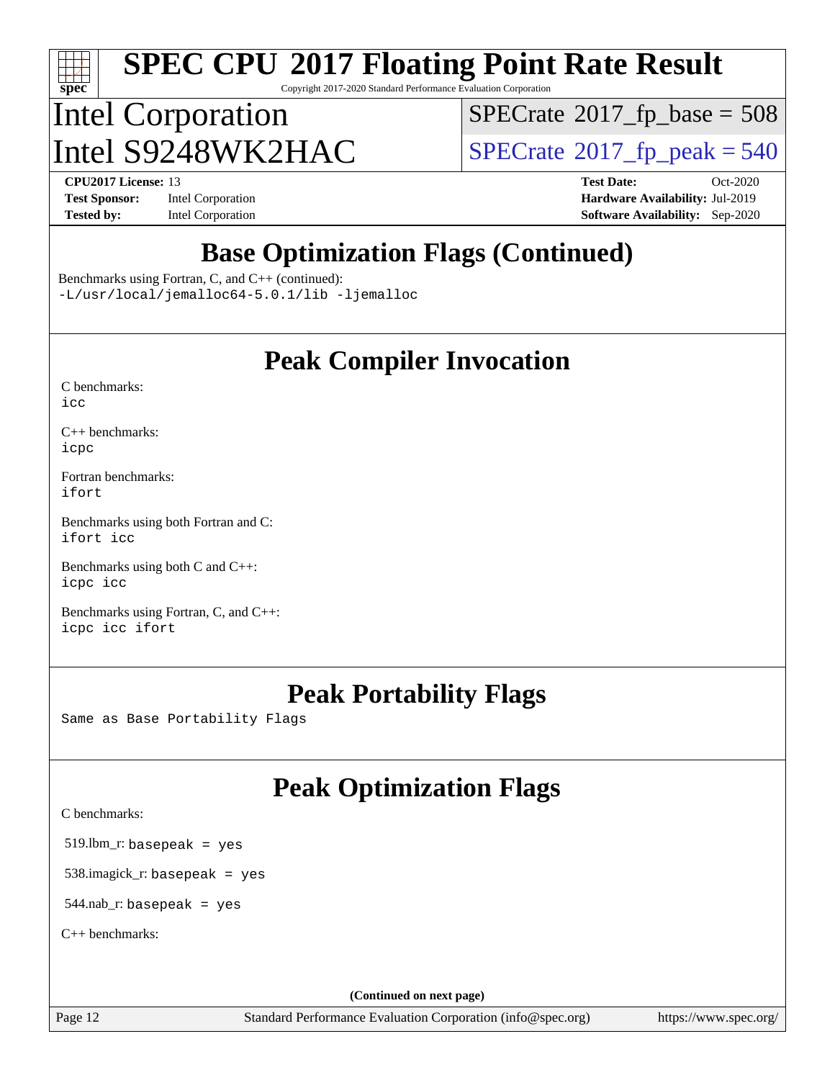# **[spec](http://www.spec.org/)**

# **[SPEC CPU](http://www.spec.org/auto/cpu2017/Docs/result-fields.html#SPECCPU2017FloatingPointRateResult)[2017 Floating Point Rate Result](http://www.spec.org/auto/cpu2017/Docs/result-fields.html#SPECCPU2017FloatingPointRateResult)**

Copyright 2017-2020 Standard Performance Evaluation Corporation

## Intel Corporation Intel  $S9248WK2HAC$  [SPECrate](http://www.spec.org/auto/cpu2017/Docs/result-fields.html#SPECrate2017fppeak)®[2017\\_fp\\_peak = 5](http://www.spec.org/auto/cpu2017/Docs/result-fields.html#SPECrate2017fppeak)40

 $SPECTate$ <sup>®</sup>[2017\\_fp\\_base =](http://www.spec.org/auto/cpu2017/Docs/result-fields.html#SPECrate2017fpbase) 508

**[Tested by:](http://www.spec.org/auto/cpu2017/Docs/result-fields.html#Testedby)** Intel Corporation **[Software Availability:](http://www.spec.org/auto/cpu2017/Docs/result-fields.html#SoftwareAvailability)** Sep-2020

**[CPU2017 License:](http://www.spec.org/auto/cpu2017/Docs/result-fields.html#CPU2017License)** 13 **[Test Date:](http://www.spec.org/auto/cpu2017/Docs/result-fields.html#TestDate)** Oct-2020 **[Test Sponsor:](http://www.spec.org/auto/cpu2017/Docs/result-fields.html#TestSponsor)** Intel Corporation **[Hardware Availability:](http://www.spec.org/auto/cpu2017/Docs/result-fields.html#HardwareAvailability)** Jul-2019

#### **[Base Optimization Flags \(Continued\)](http://www.spec.org/auto/cpu2017/Docs/result-fields.html#BaseOptimizationFlags)**

[Benchmarks using Fortran, C, and C++](http://www.spec.org/auto/cpu2017/Docs/result-fields.html#BenchmarksusingFortranCandCXX) (continued):

[-L/usr/local/jemalloc64-5.0.1/lib](http://www.spec.org/cpu2017/results/res2020q4/cpu2017-20201013-24196.flags.html#user_CC_CXX_FCbase_jemalloc_link_path64_1_cc289568b1a6c0fd3b62c91b824c27fcb5af5e8098e6ad028160d21144ef1b8aef3170d2acf0bee98a8da324cfe4f67d0a3d0c4cc4673d993d694dc2a0df248b) [-ljemalloc](http://www.spec.org/cpu2017/results/res2020q4/cpu2017-20201013-24196.flags.html#user_CC_CXX_FCbase_jemalloc_link_lib_d1249b907c500fa1c0672f44f562e3d0f79738ae9e3c4a9c376d49f265a04b9c99b167ecedbf6711b3085be911c67ff61f150a17b3472be731631ba4d0471706)

#### **[Peak Compiler Invocation](http://www.spec.org/auto/cpu2017/Docs/result-fields.html#PeakCompilerInvocation)**

| C benchmarks: |  |
|---------------|--|
| icc           |  |

[C++ benchmarks:](http://www.spec.org/auto/cpu2017/Docs/result-fields.html#CXXbenchmarks) [icpc](http://www.spec.org/cpu2017/results/res2020q4/cpu2017-20201013-24196.flags.html#user_CXXpeak_intel_icpc_c510b6838c7f56d33e37e94d029a35b4a7bccf4766a728ee175e80a419847e808290a9b78be685c44ab727ea267ec2f070ec5dc83b407c0218cded6866a35d07)

[Fortran benchmarks](http://www.spec.org/auto/cpu2017/Docs/result-fields.html#Fortranbenchmarks): [ifort](http://www.spec.org/cpu2017/results/res2020q4/cpu2017-20201013-24196.flags.html#user_FCpeak_intel_ifort_8111460550e3ca792625aed983ce982f94888b8b503583aa7ba2b8303487b4d8a21a13e7191a45c5fd58ff318f48f9492884d4413fa793fd88dd292cad7027ca)

[Benchmarks using both Fortran and C](http://www.spec.org/auto/cpu2017/Docs/result-fields.html#BenchmarksusingbothFortranandC): [ifort](http://www.spec.org/cpu2017/results/res2020q4/cpu2017-20201013-24196.flags.html#user_CC_FCpeak_intel_ifort_8111460550e3ca792625aed983ce982f94888b8b503583aa7ba2b8303487b4d8a21a13e7191a45c5fd58ff318f48f9492884d4413fa793fd88dd292cad7027ca) [icc](http://www.spec.org/cpu2017/results/res2020q4/cpu2017-20201013-24196.flags.html#user_CC_FCpeak_intel_icc_66fc1ee009f7361af1fbd72ca7dcefbb700085f36577c54f309893dd4ec40d12360134090235512931783d35fd58c0460139e722d5067c5574d8eaf2b3e37e92)

[Benchmarks using both C and C++](http://www.spec.org/auto/cpu2017/Docs/result-fields.html#BenchmarksusingbothCandCXX): [icpc](http://www.spec.org/cpu2017/results/res2020q4/cpu2017-20201013-24196.flags.html#user_CC_CXXpeak_intel_icpc_c510b6838c7f56d33e37e94d029a35b4a7bccf4766a728ee175e80a419847e808290a9b78be685c44ab727ea267ec2f070ec5dc83b407c0218cded6866a35d07) [icc](http://www.spec.org/cpu2017/results/res2020q4/cpu2017-20201013-24196.flags.html#user_CC_CXXpeak_intel_icc_66fc1ee009f7361af1fbd72ca7dcefbb700085f36577c54f309893dd4ec40d12360134090235512931783d35fd58c0460139e722d5067c5574d8eaf2b3e37e92)

[Benchmarks using Fortran, C, and C++:](http://www.spec.org/auto/cpu2017/Docs/result-fields.html#BenchmarksusingFortranCandCXX) [icpc](http://www.spec.org/cpu2017/results/res2020q4/cpu2017-20201013-24196.flags.html#user_CC_CXX_FCpeak_intel_icpc_c510b6838c7f56d33e37e94d029a35b4a7bccf4766a728ee175e80a419847e808290a9b78be685c44ab727ea267ec2f070ec5dc83b407c0218cded6866a35d07) [icc](http://www.spec.org/cpu2017/results/res2020q4/cpu2017-20201013-24196.flags.html#user_CC_CXX_FCpeak_intel_icc_66fc1ee009f7361af1fbd72ca7dcefbb700085f36577c54f309893dd4ec40d12360134090235512931783d35fd58c0460139e722d5067c5574d8eaf2b3e37e92) [ifort](http://www.spec.org/cpu2017/results/res2020q4/cpu2017-20201013-24196.flags.html#user_CC_CXX_FCpeak_intel_ifort_8111460550e3ca792625aed983ce982f94888b8b503583aa7ba2b8303487b4d8a21a13e7191a45c5fd58ff318f48f9492884d4413fa793fd88dd292cad7027ca)

#### **[Peak Portability Flags](http://www.spec.org/auto/cpu2017/Docs/result-fields.html#PeakPortabilityFlags)**

Same as Base Portability Flags

#### **[Peak Optimization Flags](http://www.spec.org/auto/cpu2017/Docs/result-fields.html#PeakOptimizationFlags)**

[C benchmarks](http://www.spec.org/auto/cpu2017/Docs/result-fields.html#Cbenchmarks):

519.lbm\_r: basepeak = yes

538.imagick\_r: basepeak = yes

544.nab\_r: basepeak = yes

[C++ benchmarks:](http://www.spec.org/auto/cpu2017/Docs/result-fields.html#CXXbenchmarks)

**(Continued on next page)**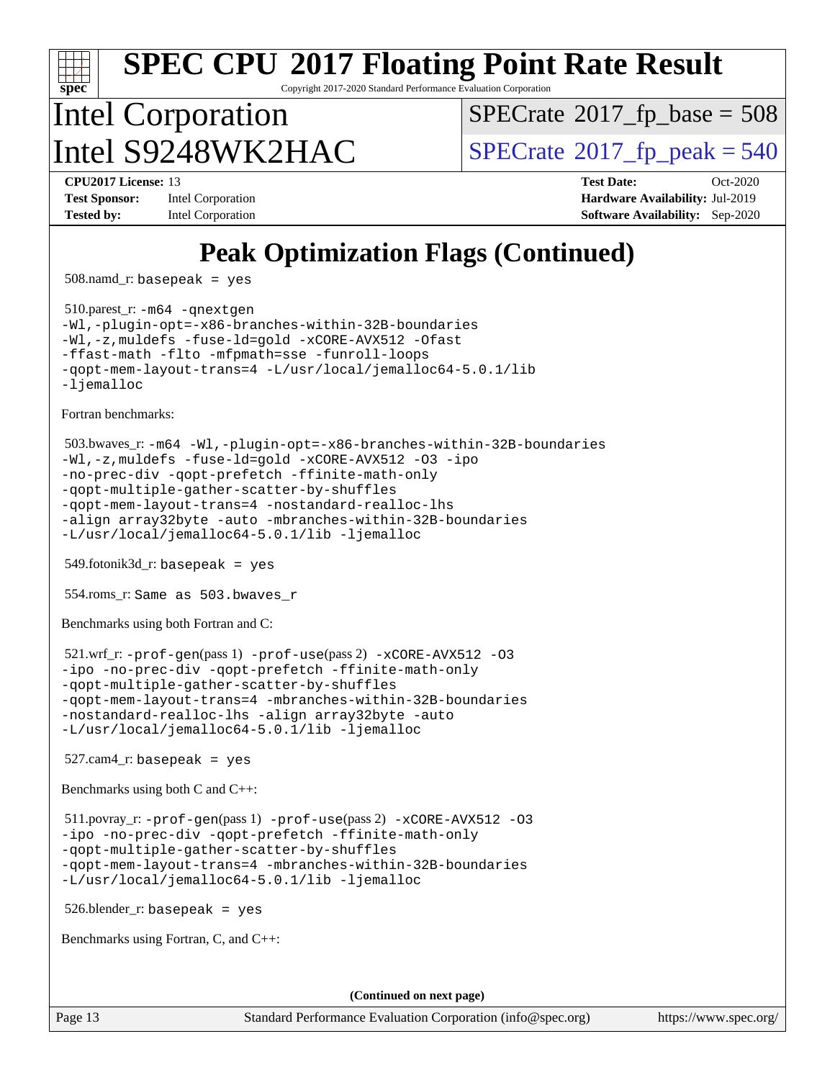Copyright 2017-2020 Standard Performance Evaluation Corporation

## Intel Corporation  $\text{Intel } S9248WK2HAC$  [SPECrate](http://www.spec.org/auto/cpu2017/Docs/result-fields.html#SPECrate2017fppeak)®[2017\\_fp\\_peak = 5](http://www.spec.org/auto/cpu2017/Docs/result-fields.html#SPECrate2017fppeak)40

 $SPECTate$ <sup>®</sup>[2017\\_fp\\_base =](http://www.spec.org/auto/cpu2017/Docs/result-fields.html#SPECrate2017fpbase) 508

**[spec](http://www.spec.org/)**

**[Test Sponsor:](http://www.spec.org/auto/cpu2017/Docs/result-fields.html#TestSponsor)** Intel Corporation **[Hardware Availability:](http://www.spec.org/auto/cpu2017/Docs/result-fields.html#HardwareAvailability)** Jul-2019 **[Tested by:](http://www.spec.org/auto/cpu2017/Docs/result-fields.html#Testedby)** Intel Corporation **[Software Availability:](http://www.spec.org/auto/cpu2017/Docs/result-fields.html#SoftwareAvailability)** Sep-2020

**[CPU2017 License:](http://www.spec.org/auto/cpu2017/Docs/result-fields.html#CPU2017License)** 13 **[Test Date:](http://www.spec.org/auto/cpu2017/Docs/result-fields.html#TestDate)** Oct-2020

## **[Peak Optimization Flags \(Continued\)](http://www.spec.org/auto/cpu2017/Docs/result-fields.html#PeakOptimizationFlags)**

508.namd\_r: basepeak = yes

 510.parest\_r: [-m64](http://www.spec.org/cpu2017/results/res2020q4/cpu2017-20201013-24196.flags.html#user_peakCXXLD510_parest_r_m64-icc) [-qnextgen](http://www.spec.org/cpu2017/results/res2020q4/cpu2017-20201013-24196.flags.html#user_peakCXXLD510_parest_r_f-qnextgen) [-Wl,-plugin-opt=-x86-branches-within-32B-boundaries](http://www.spec.org/cpu2017/results/res2020q4/cpu2017-20201013-24196.flags.html#user_peakLDFLAGS510_parest_r_f-x86-branches-within-32B-boundaries_0098b4e4317ae60947b7b728078a624952a08ac37a3c797dfb4ffeb399e0c61a9dd0f2f44ce917e9361fb9076ccb15e7824594512dd315205382d84209e912f3) [-Wl,-z,muldefs](http://www.spec.org/cpu2017/results/res2020q4/cpu2017-20201013-24196.flags.html#user_peakEXTRA_LDFLAGS510_parest_r_link_force_multiple1_b4cbdb97b34bdee9ceefcfe54f4c8ea74255f0b02a4b23e853cdb0e18eb4525ac79b5a88067c842dd0ee6996c24547a27a4b99331201badda8798ef8a743f577) [-fuse-ld=gold](http://www.spec.org/cpu2017/results/res2020q4/cpu2017-20201013-24196.flags.html#user_peakEXTRA_LDFLAGS510_parest_r_f-fuse-ld_920b3586e2b8c6e0748b9c84fa9b744736ba725a32cab14ad8f3d4ad28eecb2f59d1144823d2e17006539a88734fe1fc08fc3035f7676166309105a78aaabc32) [-xCORE-AVX512](http://www.spec.org/cpu2017/results/res2020q4/cpu2017-20201013-24196.flags.html#user_peakCXXOPTIMIZE510_parest_r_f-xCORE-AVX512) [-Ofast](http://www.spec.org/cpu2017/results/res2020q4/cpu2017-20201013-24196.flags.html#user_peakCXXOPTIMIZE510_parest_r_f-Ofast) [-ffast-math](http://www.spec.org/cpu2017/results/res2020q4/cpu2017-20201013-24196.flags.html#user_peakCXXOPTIMIZE510_parest_r_f-ffast-math) [-flto](http://www.spec.org/cpu2017/results/res2020q4/cpu2017-20201013-24196.flags.html#user_peakCXXOPTIMIZE510_parest_r_f-flto) [-mfpmath=sse](http://www.spec.org/cpu2017/results/res2020q4/cpu2017-20201013-24196.flags.html#user_peakCXXOPTIMIZE510_parest_r_f-mfpmath_70eb8fac26bde974f8ab713bc9086c5621c0b8d2f6c86f38af0bd7062540daf19db5f3a066d8c6684be05d84c9b6322eb3b5be6619d967835195b93d6c02afa1) [-funroll-loops](http://www.spec.org/cpu2017/results/res2020q4/cpu2017-20201013-24196.flags.html#user_peakCXXOPTIMIZE510_parest_r_f-funroll-loops) [-qopt-mem-layout-trans=4](http://www.spec.org/cpu2017/results/res2020q4/cpu2017-20201013-24196.flags.html#user_peakCXXOPTIMIZE510_parest_r_f-qopt-mem-layout-trans_fa39e755916c150a61361b7846f310bcdf6f04e385ef281cadf3647acec3f0ae266d1a1d22d972a7087a248fd4e6ca390a3634700869573d231a252c784941a8) [-L/usr/local/jemalloc64-5.0.1/lib](http://www.spec.org/cpu2017/results/res2020q4/cpu2017-20201013-24196.flags.html#user_peakEXTRA_LIBS510_parest_r_jemalloc_link_path64_1_cc289568b1a6c0fd3b62c91b824c27fcb5af5e8098e6ad028160d21144ef1b8aef3170d2acf0bee98a8da324cfe4f67d0a3d0c4cc4673d993d694dc2a0df248b) [-ljemalloc](http://www.spec.org/cpu2017/results/res2020q4/cpu2017-20201013-24196.flags.html#user_peakEXTRA_LIBS510_parest_r_jemalloc_link_lib_d1249b907c500fa1c0672f44f562e3d0f79738ae9e3c4a9c376d49f265a04b9c99b167ecedbf6711b3085be911c67ff61f150a17b3472be731631ba4d0471706)

[Fortran benchmarks](http://www.spec.org/auto/cpu2017/Docs/result-fields.html#Fortranbenchmarks):

```
 503.bwaves_r: -m64 -Wl,-plugin-opt=-x86-branches-within-32B-boundaries
-Wl,-z,muldefs -fuse-ld=gold -xCORE-AVX512 -O3 -ipo
-no-prec-div -qopt-prefetch -ffinite-math-only
-qopt-multiple-gather-scatter-by-shuffles
-qopt-mem-layout-trans=4 -nostandard-realloc-lhs
-align array32byte -auto -mbranches-within-32B-boundaries
-L/usr/local/jemalloc64-5.0.1/lib -ljemalloc
```
549.fotonik3d\_r: basepeak = yes

554.roms\_r: Same as 503.bwaves\_r

[Benchmarks using both Fortran and C](http://www.spec.org/auto/cpu2017/Docs/result-fields.html#BenchmarksusingbothFortranandC):

```
 521.wrf_r: -prof-gen(pass 1) -prof-use(pass 2) -xCORE-AVX512 -O3
-ipo -no-prec-div -qopt-prefetch -ffinite-math-only
-qopt-multiple-gather-scatter-by-shuffles
-qopt-mem-layout-trans=4 -mbranches-within-32B-boundaries
-nostandard-realloc-lhs -align array32byte -auto
-L/usr/local/jemalloc64-5.0.1/lib -ljemalloc
```
 $527$ .cam $4$ \_r: basepeak = yes

[Benchmarks using both C and C++](http://www.spec.org/auto/cpu2017/Docs/result-fields.html#BenchmarksusingbothCandCXX):

 511.povray\_r: [-prof-gen](http://www.spec.org/cpu2017/results/res2020q4/cpu2017-20201013-24196.flags.html#user_peakPASS1_CFLAGSPASS1_CXXFLAGSPASS1_LDFLAGS511_povray_r_prof_gen_5aa4926d6013ddb2a31985c654b3eb18169fc0c6952a63635c234f711e6e63dd76e94ad52365559451ec499a2cdb89e4dc58ba4c67ef54ca681ffbe1461d6b36)(pass 1) [-prof-use](http://www.spec.org/cpu2017/results/res2020q4/cpu2017-20201013-24196.flags.html#user_peakPASS2_CFLAGSPASS2_CXXFLAGSPASS2_LDFLAGS511_povray_r_prof_use_1a21ceae95f36a2b53c25747139a6c16ca95bd9def2a207b4f0849963b97e94f5260e30a0c64f4bb623698870e679ca08317ef8150905d41bd88c6f78df73f19)(pass 2) [-xCORE-AVX512](http://www.spec.org/cpu2017/results/res2020q4/cpu2017-20201013-24196.flags.html#user_peakCOPTIMIZECXXOPTIMIZEPASS2_COPTIMIZEPASS2_CXXOPTIMIZE511_povray_r_f-xCORE-AVX512) [-O3](http://www.spec.org/cpu2017/results/res2020q4/cpu2017-20201013-24196.flags.html#user_peakCOPTIMIZECXXOPTIMIZEPASS1_COPTIMIZEPASS1_CXXOPTIMIZEPASS2_COPTIMIZEPASS2_CXXOPTIMIZE511_povray_r_f-O3) [-ipo](http://www.spec.org/cpu2017/results/res2020q4/cpu2017-20201013-24196.flags.html#user_peakCOPTIMIZECXXOPTIMIZEPASS1_COPTIMIZEPASS1_CXXOPTIMIZEPASS2_COPTIMIZEPASS2_CXXOPTIMIZE511_povray_r_f-ipo) [-no-prec-div](http://www.spec.org/cpu2017/results/res2020q4/cpu2017-20201013-24196.flags.html#user_peakCOPTIMIZECXXOPTIMIZEPASS1_COPTIMIZEPASS1_CXXOPTIMIZEPASS2_COPTIMIZEPASS2_CXXOPTIMIZE511_povray_r_f-no-prec-div) [-qopt-prefetch](http://www.spec.org/cpu2017/results/res2020q4/cpu2017-20201013-24196.flags.html#user_peakCOPTIMIZECXXOPTIMIZEPASS1_COPTIMIZEPASS1_CXXOPTIMIZEPASS2_COPTIMIZEPASS2_CXXOPTIMIZE511_povray_r_f-qopt-prefetch) [-ffinite-math-only](http://www.spec.org/cpu2017/results/res2020q4/cpu2017-20201013-24196.flags.html#user_peakCOPTIMIZECXXOPTIMIZEPASS1_COPTIMIZEPASS1_CXXOPTIMIZEPASS2_COPTIMIZEPASS2_CXXOPTIMIZE511_povray_r_f_finite_math_only_cb91587bd2077682c4b38af759c288ed7c732db004271a9512da14a4f8007909a5f1427ecbf1a0fb78ff2a814402c6114ac565ca162485bbcae155b5e4258871) [-qopt-multiple-gather-scatter-by-shuffles](http://www.spec.org/cpu2017/results/res2020q4/cpu2017-20201013-24196.flags.html#user_peakCOPTIMIZECXXOPTIMIZEPASS1_COPTIMIZEPASS1_CXXOPTIMIZEPASS2_COPTIMIZEPASS2_CXXOPTIMIZE511_povray_r_f-qopt-multiple-gather-scatter-by-shuffles) [-qopt-mem-layout-trans=4](http://www.spec.org/cpu2017/results/res2020q4/cpu2017-20201013-24196.flags.html#user_peakCOPTIMIZECXXOPTIMIZEPASS1_COPTIMIZEPASS1_CXXOPTIMIZEPASS2_COPTIMIZEPASS2_CXXOPTIMIZE511_povray_r_f-qopt-mem-layout-trans_fa39e755916c150a61361b7846f310bcdf6f04e385ef281cadf3647acec3f0ae266d1a1d22d972a7087a248fd4e6ca390a3634700869573d231a252c784941a8) [-mbranches-within-32B-boundaries](http://www.spec.org/cpu2017/results/res2020q4/cpu2017-20201013-24196.flags.html#user_peakEXTRA_COPTIMIZEEXTRA_CXXOPTIMIZE511_povray_r_f-mbranches-within-32B-boundaries) [-L/usr/local/jemalloc64-5.0.1/lib](http://www.spec.org/cpu2017/results/res2020q4/cpu2017-20201013-24196.flags.html#user_peakEXTRA_LIBS511_povray_r_jemalloc_link_path64_1_cc289568b1a6c0fd3b62c91b824c27fcb5af5e8098e6ad028160d21144ef1b8aef3170d2acf0bee98a8da324cfe4f67d0a3d0c4cc4673d993d694dc2a0df248b) [-ljemalloc](http://www.spec.org/cpu2017/results/res2020q4/cpu2017-20201013-24196.flags.html#user_peakEXTRA_LIBS511_povray_r_jemalloc_link_lib_d1249b907c500fa1c0672f44f562e3d0f79738ae9e3c4a9c376d49f265a04b9c99b167ecedbf6711b3085be911c67ff61f150a17b3472be731631ba4d0471706)

526.blender\_r: basepeak = yes

[Benchmarks using Fortran, C, and C++:](http://www.spec.org/auto/cpu2017/Docs/result-fields.html#BenchmarksusingFortranCandCXX)

**(Continued on next page)**